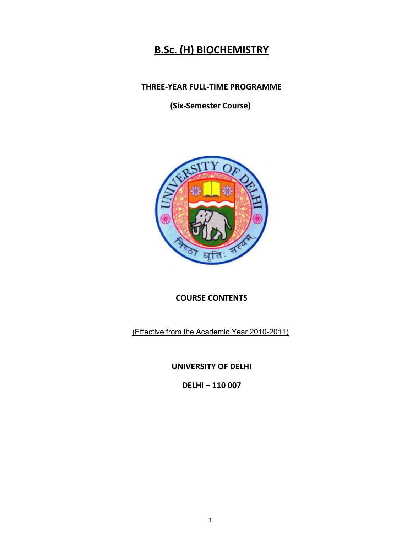# **B.Sc. (H) BIOCHEMISTRY**

## **THREE-YEAR FULL-TIME PROGRAMME**

**(Six-Semester Course)** 



## **COURSE CONTENTS**

(Effective from the Academic Year 2010-2011)

**UNIVERSITY OF DELHI** 

**DELHI – 110 007**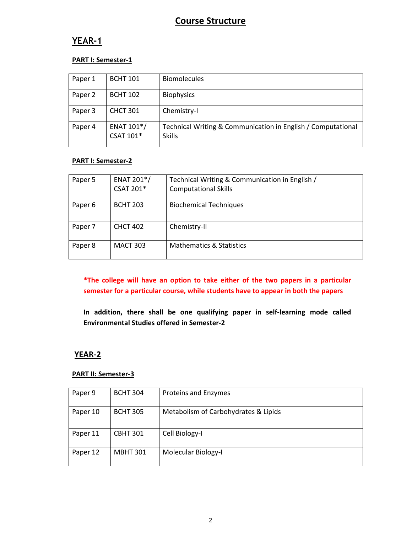## **Course Structure**

## **YEAR-1**

### **PART I: Semester-1**

| Paper 1 | <b>BCHT 101</b>         | <b>Biomolecules</b>                                                           |
|---------|-------------------------|-------------------------------------------------------------------------------|
| Paper 2 | <b>BCHT 102</b>         | <b>Biophysics</b>                                                             |
| Paper 3 | <b>CHCT 301</b>         | Chemistry-I                                                                   |
| Paper 4 | ENAT 101*/<br>CSAT 101* | Technical Writing & Communication in English / Computational<br><b>Skills</b> |

## **PART I: Semester-2**

| Paper 5            | ENAT 201 <sup>*</sup> /<br><b>CSAT 201*</b> | Technical Writing & Communication in English /<br><b>Computational Skills</b> |
|--------------------|---------------------------------------------|-------------------------------------------------------------------------------|
| Paper <sub>6</sub> | <b>BCHT 203</b>                             | <b>Biochemical Techniques</b>                                                 |
| Paper 7            | <b>CHCT 402</b>                             | Chemistry-II                                                                  |
| Paper 8            | <b>MACT 303</b>                             | <b>Mathematics &amp; Statistics</b>                                           |

**\*The college will have an option to take either of the two papers in a particular semester for a particular course, while students have to appear in both the papers** 

**In addition, there shall be one qualifying paper in self-learning mode called Environmental Studies offered in Semester-2** 

## **YEAR-2**

#### **PART II: Semester-3**

| Paper 9  | <b>BCHT 304</b> | <b>Proteins and Enzymes</b>          |
|----------|-----------------|--------------------------------------|
| Paper 10 | <b>BCHT 305</b> | Metabolism of Carbohydrates & Lipids |
| Paper 11 | <b>CBHT 301</b> | Cell Biology-I                       |
| Paper 12 | <b>MBHT 301</b> | Molecular Biology-I                  |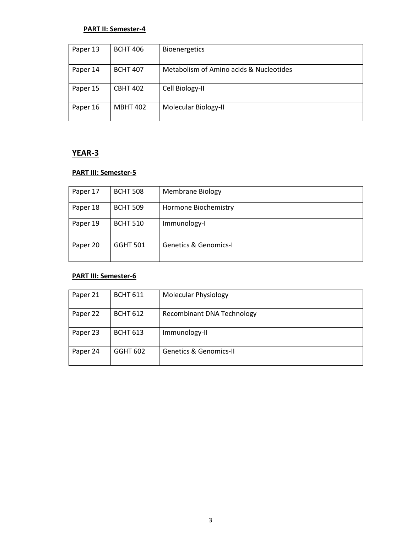### **PART II: Semester-4**

| Paper 13 | <b>BCHT 406</b> | <b>Bioenergetics</b>                    |
|----------|-----------------|-----------------------------------------|
| Paper 14 | <b>BCHT 407</b> | Metabolism of Amino acids & Nucleotides |
| Paper 15 | <b>CBHT 402</b> | Cell Biology-II                         |
| Paper 16 | <b>MBHT 402</b> | Molecular Biology-II                    |

## **YEAR-3**

### **PART III: Semester-5**

| Paper 17 | <b>BCHT 508</b> | <b>Membrane Biology</b>          |
|----------|-----------------|----------------------------------|
| Paper 18 | <b>BCHT 509</b> | Hormone Biochemistry             |
| Paper 19 | <b>BCHT 510</b> | Immunology-I                     |
| Paper 20 | <b>GGHT 501</b> | <b>Genetics &amp; Genomics-I</b> |

### **PART III: Semester-6**

| Paper 21 | <b>BCHT 611</b> | <b>Molecular Physiology</b>       |
|----------|-----------------|-----------------------------------|
| Paper 22 | <b>BCHT 612</b> | <b>Recombinant DNA Technology</b> |
| Paper 23 | <b>BCHT 613</b> | Immunology-II                     |
| Paper 24 | <b>GGHT 602</b> | <b>Genetics &amp; Genomics-II</b> |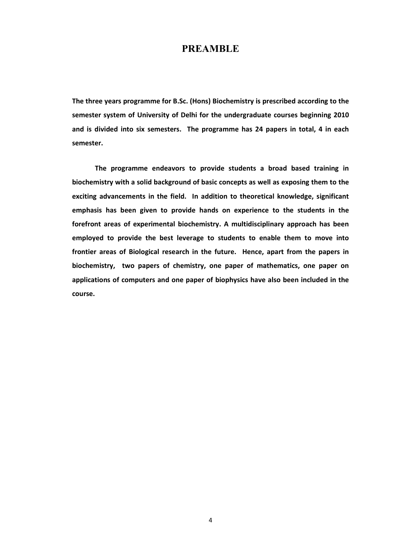## **PREAMBLE**

**The three years programme for B.Sc. (Hons) Biochemistry is prescribed according to the semester system of University of Delhi for the undergraduate courses beginning 2010 and is divided into six semesters. The programme has 24 papers in total, 4 in each semester.** 

 **The programme endeavors to provide students a broad based training in biochemistry with a solid background of basic concepts as well as exposing them to the exciting advancements in the field. In addition to theoretical knowledge, significant emphasis has been given to provide hands on experience to the students in the forefront areas of experimental biochemistry. A multidisciplinary approach has been employed to provide the best leverage to students to enable them to move into frontier areas of Biological research in the future. Hence, apart from the papers in biochemistry, two papers of chemistry, one paper of mathematics, one paper on applications of computers and one paper of biophysics have also been included in the course.**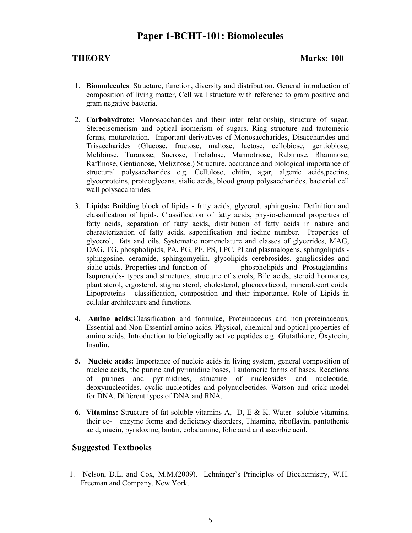## **Paper 1-BCHT-101: Biomolecules**

## **THEORY Marks: 100**

- 1. **Biomolecules**: Structure, function, diversity and distribution. General introduction of composition of living matter, Cell wall structure with reference to gram positive and gram negative bacteria.
- 2. **Carbohydrate:** Monosaccharides and their inter relationship, structure of sugar, Stereoisomerism and optical isomerism of sugars. Ring structure and tautomeric forms, mutarotation. Important derivatives of Monosaccharides, Disaccharides and Trisaccharides (Glucose, fructose, maltose, lactose, cellobiose, gentiobiose, Melibiose, Turanose, Sucrose, Trehalose, Mannotriose, Rabinose, Rhamnose, Raffinose, Gentionose, Melizitose.) Structure, occurance and biological importance of structural polysaccharides e.g. Cellulose, chitin, agar, algenic acids,pectins, glycoproteins, proteoglycans, sialic acids, blood group polysaccharides, bacterial cell wall polysaccharides.
- 3. **Lipids:** Building block of lipids fatty acids, glycerol, sphingosine Definition and classification of lipids. Classification of fatty acids, physio-chemical properties of fatty acids, separation of fatty acids, distribution of fatty acids in nature and characterization of fatty acids, saponification and iodine number. Properties of glycerol, fats and oils. Systematic nomenclature and classes of glycerides, MAG, DAG, TG, phospholipids, PA, PG, PE, PS, LPC, PI and plasmalogens, sphingolipids sphingosine, ceramide, sphingomyelin, glycolipids cerebrosides, gangliosides and sialic acids. Properties and function of phospholipids and Prostaglandins. Isoprenoids- types and structures, structure of sterols, Bile acids, steroid hormones, plant sterol, ergosterol, stigma sterol, cholesterol, glucocorticoid, mineralocorticoids. Lipoproteins - classification, composition and their importance, Role of Lipids in cellular architecture and functions.
- **4. Amino acids:**Classification and formulae, Proteinaceous and non-proteinaceous, Essential and Non-Essential amino acids. Physical, chemical and optical properties of amino acids. Introduction to biologically active peptides e.g. Glutathione, Oxytocin, Insulin.
- **5. Nucleic acids:** Importance of nucleic acids in living system, general composition of nucleic acids, the purine and pyrimidine bases, Tautomeric forms of bases. Reactions of purines and pyrimidines, structure of nucleosides and nucleotide, deoxynucleotides, cyclic nucleotides and polynucleotides. Watson and crick model for DNA. Different types of DNA and RNA.
- **6. Vitamins:** Structure of fat soluble vitamins A, D, E & K. Water soluble vitamins, their co- enzyme forms and deficiency disorders, Thiamine, riboflavin, pantothenic acid, niacin, pyridoxine, biotin, cobalamine, folic acid and ascorbic acid.

## **Suggested Textbooks**

1. Nelson, D.L. and Cox, M.M.(2009). Lehninger`s Principles of Biochemistry, W.H. Freeman and Company, New York.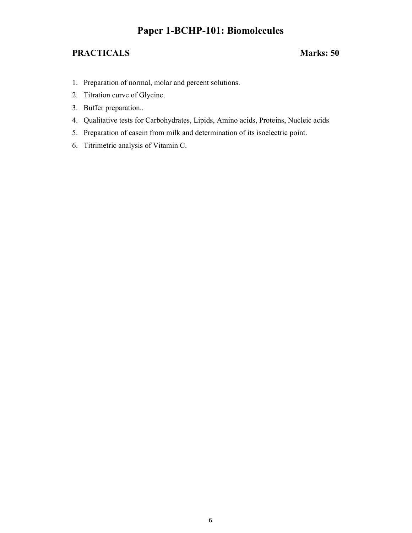## **Paper 1-BCHP-101: Biomolecules**

- 1. Preparation of normal, molar and percent solutions.
- 2. Titration curve of Glycine.
- 3. Buffer preparation..
- 4. Qualitative tests for Carbohydrates, Lipids, Amino acids, Proteins, Nucleic acids
- 5. Preparation of casein from milk and determination of its isoelectric point.
- 6. Titrimetric analysis of Vitamin C.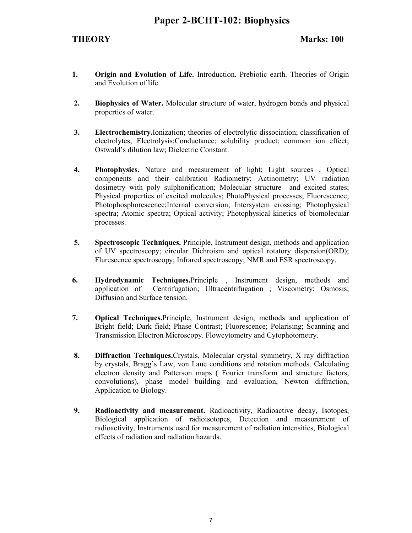- **1. Origin and Evolution of Life.** Introduction. Prebiotic earth. Theories of Origin and Evolution of life.
- **2. Biophysics of Water.** Molecular structure of water, hydrogen bonds and physical properties of water.
- **3. Electrochemistry.**Ionization; theories of electrolytic dissociation; classification of electrolytes; Electrolysis;Conductance; solubility product; common ion effect; Ostwald's dilution law; Dielectric Constant.
- **4. Photophysics.** Nature and measurement of light; Light sources , Optical components and their calibration Radiometry; Actinometry; UV radiation dosimetry with poly sulphonification; Molecular structure and excited states; Physical properties of excited molecules; PhotoPhysical processes; Fluorescence; Photophosphorescence;Internal conversion; Intersystem crossing; Photophysical spectra; Atomic spectra; Optical activity; Photophysical kinetics of biomolecular processes.
- **5. Spectroscopic Techniques.** Principle, Instrument design, methods and application of UV spectroscopy; circular Dichroism and optical rotatory dispersion(ORD); Flurescence spectroscopy; Infrared spectroscopy; NMR and ESR spectroscopy.
- **6. Hydrodynamic Techniques.**Principle , Instrument design, methods and application of Centrifugation; Ultracentrifugation ; Viscometry; Osmosis; Diffusion and Surface tension.
- **7. Optical Techniques.**Principle, Instrument design, methods and application of Bright field; Dark field; Phase Contrast; Fluorescence; Polarising; Scanning and Transmission Electron Microscopy. Flowcytometry and Cytophotometry.
- **8. Diffraction Techniques.**Crystals, Molecular crystal symmetry, X ray diffraction by crystals, Bragg's Law, von Laue conditions and rotation methods. Calculating electron density and Patterson maps ( Fourier transform and structure factors, convolutions), phase model building and evaluation, Newton diffraction, Application to Biology.
- **9. Radioactivity and measurement.** Radioactivity, Radioactive decay, Isotopes, Biological application of radioisotopes, Detection and measurement of radioactivity, Instruments used for measurement of radiation intensities, Biological effects of radiation and radiation hazards.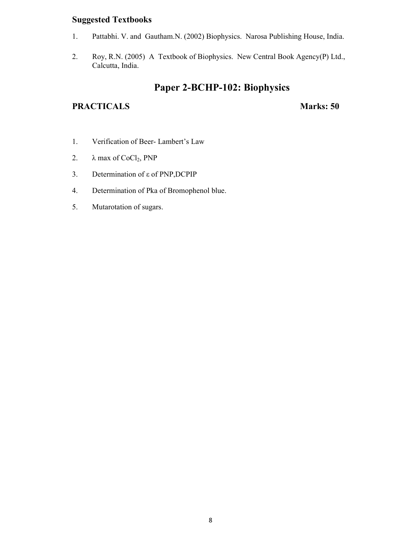## **Suggested Textbooks**

- 1. Pattabhi. V. and Gautham.N. (2002) Biophysics. Narosa Publishing House, India.
- 2. Roy, R.N. (2005) A Textbook of Biophysics. New Central Book Agency(P) Ltd., Calcutta, India.

## **Paper 2-BCHP-102: Biophysics**

- 1. Verification of Beer- Lambert's Law
- 2.  $\lambda$  max of CoCl<sub>2</sub>, PNP
- 3. Determination of ε of PNP,DCPIP
- 4. Determination of Pka of Bromophenol blue.
- 5. Mutarotation of sugars.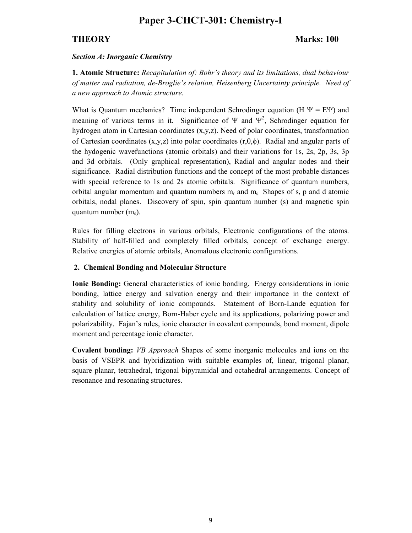## **Paper 3-CHCT-301: Chemistry-I**

## **THEORY** Marks: 100

#### *Section A: Inorganic Chemistry*

**1. Atomic Structure:** *Recapitulation of: Bohr's theory and its limitations, dual behaviour of matter and radiation, de-Broglie's relation, Heisenberg Uncertainty principle. Need of a new approach to Atomic structure.*

What is Quantum mechanics? Time independent Schrodinger equation (H  $\Psi = E\Psi$ ) and meaning of various terms in it. Significance of  $\Psi$  and  $\Psi^2$ , Schrodinger equation for hydrogen atom in Cartesian coordinates (x,y,z). Need of polar coordinates, transformation of Cartesian coordinates (x,y,z) into polar coordinates (r,θ,φ). Radial and angular parts of the hydogenic wavefunctions (atomic orbitals) and their variations for 1s, 2s, 2p, 3s, 3p and 3d orbitals. (Only graphical representation), Radial and angular nodes and their significance. Radial distribution functions and the concept of the most probable distances with special reference to 1s and 2s atomic orbitals. Significance of quantum numbers, orbital angular momentum and quantum numbers  $m_r$  and  $m_s$ . Shapes of s, p and d atomic orbitals, nodal planes. Discovery of spin, spin quantum number (s) and magnetic spin quantum number  $(m_s)$ .

Rules for filling electrons in various orbitals, Electronic configurations of the atoms. Stability of half-filled and completely filled orbitals, concept of exchange energy. Relative energies of atomic orbitals, Anomalous electronic configurations.

#### **2. Chemical Bonding and Molecular Structure**

**Ionic Bonding:** General characteristics of ionic bonding. Energy considerations in ionic bonding, lattice energy and salvation energy and their importance in the context of stability and solubility of ionic compounds. Statement of Born-Lande equation for calculation of lattice energy, Born-Haber cycle and its applications, polarizing power and polarizability. Fajan's rules, ionic character in covalent compounds, bond moment, dipole moment and percentage ionic character.

**Covalent bonding:** *VB Approach* Shapes of some inorganic molecules and ions on the basis of VSEPR and hybridization with suitable examples of, linear, trigonal planar, square planar, tetrahedral, trigonal bipyramidal and octahedral arrangements. Concept of resonance and resonating structures.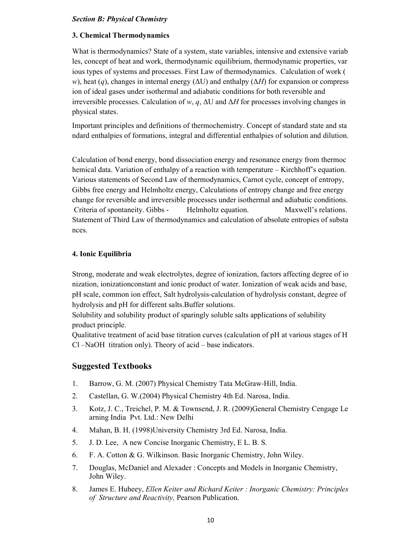### *Section B: Physical Chemistry*

#### **3. Chemical Thermodynamics**

What is thermodynamics? State of a system, state variables, intensive and extensive variab les, concept of heat and work, thermodynamic equilibrium, thermodynamic properties, var ious types of systems and processes. First Law of thermodynamics. Calculation of work ( *w*), heat (*q*), changes in internal energy (ΔU) and enthalpy (Δ*H*) for expansion or compress ion of ideal gases under isothermal and adiabatic conditions for both reversible and irreversible processes. Calculation of *w*, *q*,  $\Delta U$  and  $\Delta H$  for processes involving changes in physical states.

Important principles and definitions of thermochemistry. Concept of standard state and sta ndard enthalpies of formations, integral and differential enthalpies of solution and dilution.

Calculation of bond energy, bond dissociation energy and resonance energy from thermoc hemical data. Variation of enthalpy of a reaction with temperature – Kirchhoff's equation. Various statements of Second Law of thermodynamics, Carnot cycle, concept of entropy, Gibbs free energy and Helmholtz energy, Calculations of entropy change and free energy change for reversible and irreversible processes under isothermal and adiabatic conditions. Criteria of spontaneity. Gibbs - Helmholtz equation. Maxwell's relations. Statement of Third Law of thermodynamics and calculation of absolute entropies of substa nces.

### **4. Ionic Equilibria**

Strong, moderate and weak electrolytes, degree of ionization, factors affecting degree of io nization, ionizationconstant and ionic product of water. Ionization of weak acids and base, pH scale, common ion effect, Salt hydrolysis-calculation of hydrolysis constant, degree of hydrolysis and pH for different salts.Buffer solutions.

Solubility and solubility product of sparingly soluble salts applications of solubility product principle.

Qualitative treatment of acid base titration curves (calculation of pH at various stages of H Cl –NaOH titration only). Theory of acid – base indicators.

### **Suggested Textbooks**

- 1. Barrow, G. M. (2007) Physical Chemistry Tata McGraw-Hill, India.
- 2. Castellan, G. W.(2004) Physical Chemistry 4th Ed. Narosa, India.
- 3. Kotz, J. C., Treichel, P. M. & Townsend, J. R. (2009)General Chemistry Cengage Le arning India Pvt. Ltd.: New Delhi
- 4. Mahan, B. H. (1998)University Chemistry 3rd Ed. Narosa, India.
- 5. J. D. Lee, A new Concise Inorganic Chemistry, E L. B. S.
- 6. F. A. Cotton & G. Wilkinson. Basic Inorganic Chemistry, John Wiley.
- 7. Douglas, McDaniel and Alexader : Concepts and Models in Inorganic Chemistry, John Wiley.
- 8. James E. Huheey, *Ellen Keiter and Richard Keiter : Inorganic Chemistry: Principles of Structure and Reactivity,* Pearson Publication.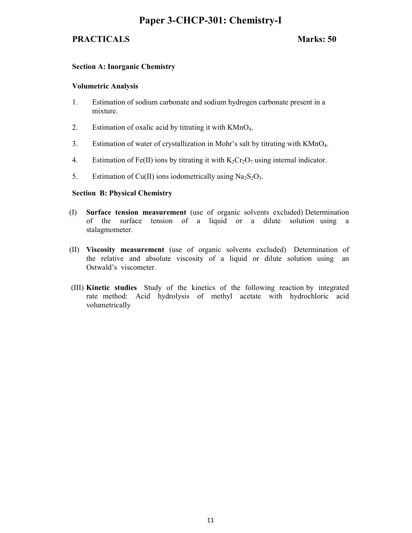## **Paper 3-CHCP-301: Chemistry-I**

## **PRACTICALS** Marks: 50

### **Section A: Inorganic Chemistry**

#### **Volumetric Analysis**

- 1. Estimation of sodium carbonate and sodium hydrogen carbonate present in a mixture.
- 2. Estimation of oxalic acid by titrating it with KMnO4.
- 3. Estimation of water of crystallization in Mohr's salt by titrating with KMnO4.
- 4. Estimation of Fe(II) ions by titrating it with  $K_2Cr_2O_7$  using internal indicator.
- 5. Estimation of Cu(II) ions iodometrically using  $Na<sub>2</sub>S<sub>2</sub>O<sub>3</sub>$ .

### **Section B: Physical Chemistry**

- (I) **Surface tension measurement** (use of organic solvents excluded) Determination of the surface tension of a liquid or a dilute solutionusing a stalagmometer.
- (II) **Viscosity measurement** (use of organic solvents excluded) Determination of the relative and absolute viscosity of a liquid or dilute solution using an Ostwald's viscometer.
- (III) **Kinetic studies** Study of the kinetics of the following reaction by integrated rate method: Acid hydrolysis of methyl acetate with hydrochloric acid volumetrically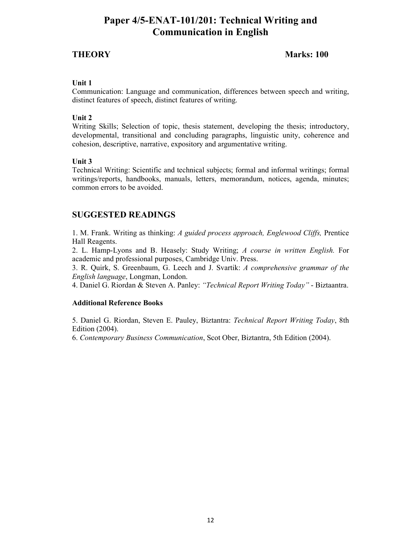## **Paper 4/5-ENAT-101/201: Technical Writing and Communication in English**

## **THEORY Marks: 100**

### **Unit 1**

Communication: Language and communication, differences between speech and writing, distinct features of speech, distinct features of writing.

### **Unit 2**

Writing Skills; Selection of topic, thesis statement, developing the thesis; introductory, developmental, transitional and concluding paragraphs, linguistic unity, coherence and cohesion, descriptive, narrative, expository and argumentative writing.

### **Unit 3**

Technical Writing: Scientific and technical subjects; formal and informal writings; formal writings/reports, handbooks, manuals, letters, memorandum, notices, agenda, minutes; common errors to be avoided.

## **SUGGESTED READINGS**

1. M. Frank. Writing as thinking: *A guided process approach, Englewood Cliffs,* Prentice Hall Reagents.

2. L. Hamp-Lyons and B. Heasely: Study Writing; *A course in written English.* For academic and professional purposes, Cambridge Univ. Press.

3. R. Quirk, S. Greenbaum, G. Leech and J. Svartik: *A comprehensive grammar of the English language*, Longman, London.

4. Daniel G. Riordan & Steven A. Panley: *"Technical Report Writing Today"* - Biztaantra.

#### **Additional Reference Books**

5. Daniel G. Riordan, Steven E. Pauley, Biztantra: *Technical Report Writing Today*, 8th Edition (2004).

6. *Contemporary Business Communication*, Scot Ober, Biztantra, 5th Edition (2004).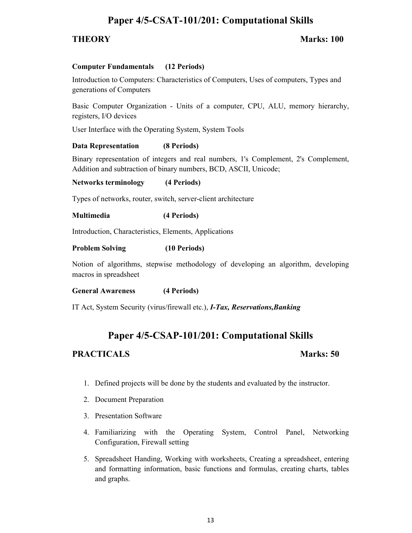## **Paper 4/5-CSAT-101/201: Computational Skills**

## **THEORY Marks: 100**

### **Computer Fundamentals (12 Periods)**

Introduction to Computers: Characteristics of Computers, Uses of computers, Types and generations of Computers

Basic Computer Organization - Units of a computer, CPU, ALU, memory hierarchy, registers, I/O devices

User Interface with the Operating System, System Tools

### **Data Representation (8 Periods)**

Binary representation of integers and real numbers, 1's Complement, 2's Complement, Addition and subtraction of binary numbers, BCD, ASCII, Unicode;

#### **Networks terminology (4 Periods)**

Types of networks, router, switch, server-client architecture

### **Multimedia (4 Periods)**

Introduction, Characteristics, Elements, Applications

### **Problem Solving (10 Periods)**

Notion of algorithms, stepwise methodology of developing an algorithm, developing macros in spreadsheet

#### **General Awareness (4 Periods)**

IT Act, System Security (virus/firewall etc.), *I-Tax, Reservations,Banking* 

## **Paper 4/5-CSAP-101/201: Computational Skills**

- 1. Defined projects will be done by the students and evaluated by the instructor.
- 2. Document Preparation
- 3. Presentation Software
- 4. Familiarizing with the Operating System, Control Panel, Networking Configuration, Firewall setting
- 5. Spreadsheet Handing, Working with worksheets, Creating a spreadsheet, entering and formatting information, basic functions and formulas, creating charts, tables and graphs.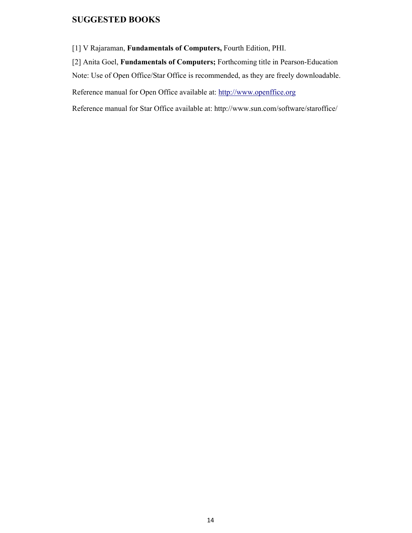## **SUGGESTED BOOKS**

[1] V Rajaraman, **Fundamentals of Computers,** Fourth Edition, PHI.

[2] Anita Goel, **Fundamentals of Computers;** Forthcoming title in Pearson-Education

Note: Use of Open Office/Star Office is recommended, as they are freely downloadable.

Reference manual for Open Office available at: http://www.openffice.org

Reference manual for Star Office available at: http://www.sun.com/software/staroffice/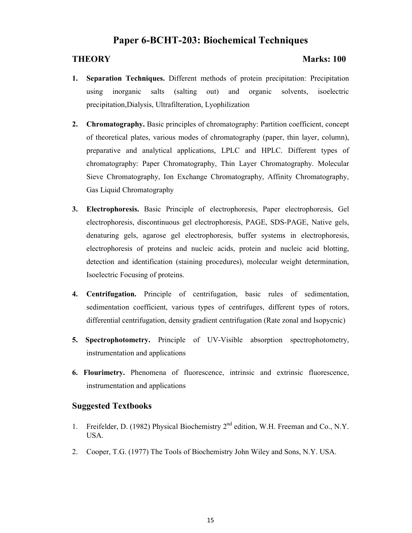## **Paper 6-BCHT-203: Biochemical Techniques**

### **THEORY Marks: 100**

- **1. Separation Techniques.** Different methods of protein precipitation: Precipitation using inorganic salts (salting out) and organic solvents, isoelectric precipitation,Dialysis, Ultrafilteration, Lyophilization
- **2.** Chromatography. Basic principles of chromatography: Partition coefficient, concept of theoretical plates, various modes of chromatography (paper, thin layer, column), preparative and analytical applications, LPLC and HPLC. Different types of chromatography: Paper Chromatography, Thin Layer Chromatography. Molecular Sieve Chromatography, Ion Exchange Chromatography, Affinity Chromatography, Gas Liquid Chromatography
- **3. Electrophoresis.** Basic Principle of electrophoresis, Paper electrophoresis, Gel electrophoresis, discontinuous gel electrophoresis, PAGE, SDS-PAGE, Native gels, denaturing gels, agarose gel electrophoresis, buffer systems in electrophoresis, electrophoresis of proteins and nucleic acids, protein and nucleic acid blotting, detection and identification (staining procedures), molecular weight determination, Isoelectric Focusing of proteins.
- **4. Centrifugation.** Principle of centrifugation, basic rules of sedimentation, sedimentation coefficient, various types of centrifuges, different types of rotors, differential centrifugation, density gradient centrifugation (Rate zonal and Isopycnic)
- **5. Spectrophotometry.** Principle of UV-Visible absorption spectrophotometry, instrumentation and applications
- **6. Flourimetry.** Phenomena of fluorescence, intrinsic and extrinsic fluorescence, instrumentation and applications

### **Suggested Textbooks**

- 1. Freifelder, D. (1982) Physical Biochemistry 2<sup>nd</sup> edition, W.H. Freeman and Co., N.Y. USA.
- 2. Cooper, T.G. (1977) The Tools of Biochemistry John Wiley and Sons, N.Y. USA.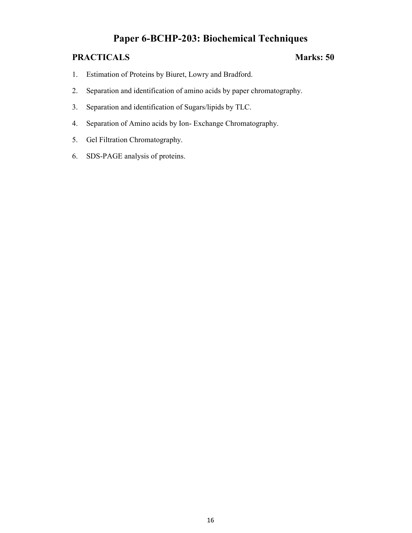## **Paper 6-BCHP-203: Biochemical Techniques**

- 1. Estimation of Proteins by Biuret, Lowry and Bradford.
- 2. Separation and identification of amino acids by paper chromatography.
- 3. Separation and identification of Sugars/lipids by TLC.
- 4. Separation of Amino acids by Ion- Exchange Chromatography.
- 5. Gel Filtration Chromatography.
- 6. SDS-PAGE analysis of proteins.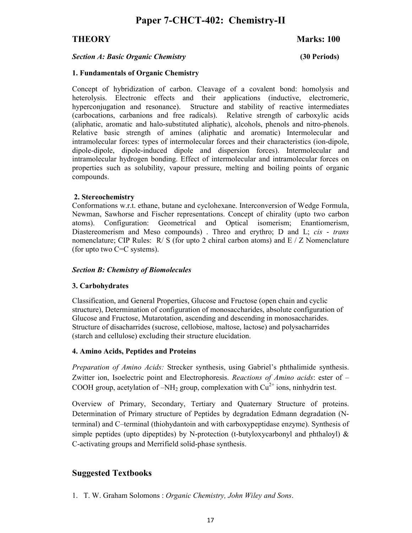## **THEORY Marks: 100**

#### *Section A: Basic Organic Chemistry* **(30 Periods)**

#### **1. Fundamentals of Organic Chemistry**

Concept of hybridization of carbon. Cleavage of a covalent bond: homolysis and heterolysis. Electronic effects and their applications (inductive, electromeric, hyperconjugation and resonance). Structure and stability of reactive intermediates (carbocations, carbanions and free radicals). Relative strength of carboxylic acids (aliphatic, aromatic and halo-substituted aliphatic), alcohols, phenols and nitro-phenols. Relative basic strength of amines (aliphatic and aromatic) Intermolecular and intramolecular forces: types of intermolecular forces and their characteristics (ion-dipole, dipole-dipole, dipole-induced dipole and dispersion forces). Intermolecular and intramolecular hydrogen bonding. Effect of intermolecular and intramolecular forces on properties such as solubility, vapour pressure, melting and boiling points of organic compounds.

### **2. Stereochemistry**

Conformations w.r.t. ethane, butane and cyclohexane. Interconversion of Wedge Formula, Newman, Sawhorse and Fischer representations. Concept of chirality (upto two carbon atoms). Configuration: Geometrical and Optical isomerism; Enantiomerism, Diastereomerism and Meso compounds) . Threo and erythro; D and L; *cis* - *trans* nomenclature; CIP Rules:  $R / S$  (for upto 2 chiral carbon atoms) and  $E / Z$  Nomenclature (for upto two C=C systems).

### *Section B: Chemistry of Biomolecules*

### **3. Carbohydrates**

Classification, and General Properties, Glucose and Fructose (open chain and cyclic structure), Determination of configuration of monosaccharides, absolute configuration of Glucose and Fructose, Mutarotation, ascending and descending in monosaccharides. Structure of disacharrides (sucrose, cellobiose, maltose, lactose) and polysacharrides (starch and cellulose) excluding their structure elucidation.

#### **4. Amino Acids, Peptides and Proteins**

*Preparation of Amino Acids:* Strecker synthesis, using Gabriel's phthalimide synthesis. Zwitter ion, Isoelectric point and Electrophoresis. *Reactions of Amino acids*: ester of – COOH group, acetylation of  $-NH_2$  group, complexation with  $Cu^{2+}$  ions, ninhydrin test.

Overview of Primary, Secondary, Tertiary and Quaternary Structure of proteins. Determination of Primary structure of Peptides by degradation Edmann degradation (Nterminal) and C–terminal (thiohydantoin and with carboxypeptidase enzyme). Synthesis of simple peptides (upto dipeptides) by N-protection (t-butyloxycarbonyl and phthaloyl)  $\&$ C-activating groups and Merrifield solid-phase synthesis.

## **Suggested Textbooks**

1. T. W. Graham Solomons : *Organic Chemistry, John Wiley and Sons*.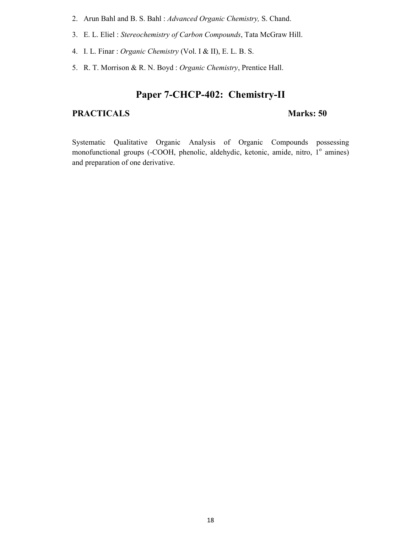- 2. Arun Bahl and B. S. Bahl : *Advanced Organic Chemistry,* S. Chand.
- 3. E. L. Eliel : *Stereochemistry of Carbon Compounds*, Tata McGraw Hill.
- 4. I. L. Finar : *Organic Chemistry* (Vol. I & II), E. L. B. S.
- 5. R. T. Morrison & R. N. Boyd : *Organic Chemistry*, Prentice Hall.

## **Paper 7-CHCP-402: Chemistry-II**

## PRACTICALS **Marks: 50**

Systematic Qualitative Organic Analysis of Organic Compounds possessing monofunctional groups (-COOH, phenolic, aldehydic, ketonic, amide, nitro, 1º amines) and preparation of one derivative.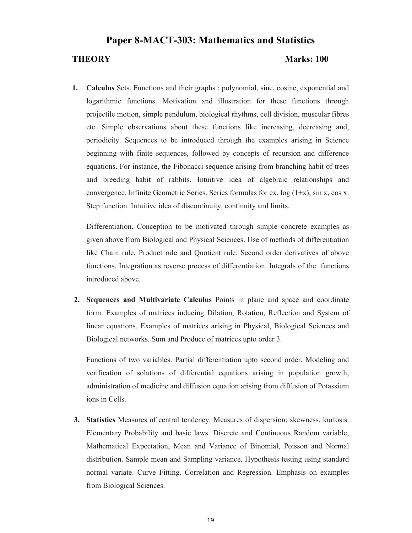## **Paper 8-MACT-303: Mathematics and Statistics**

### **THEORY** Marks: 100

**1. Calculus** Sets. Functions and their graphs : polynomial, sine, cosine, exponential and logarithmic functions. Motivation and illustration for these functions through projectile motion, simple pendulum, biological rhythms, cell division, muscular fibres etc. Simple observations about these functions like increasing, decreasing and, periodicity. Sequences to be introduced through the examples arising in Science beginning with finite sequences, followed by concepts of recursion and difference equations. For instance, the Fibonacci sequence arising from branching habit of trees and breeding habit of rabbits. Intuitive idea of algebraic relationships and convergence. Infinite Geometric Series. Series formulas for ex, log (1+x), sin x, cos x. Step function. Intuitive idea of discontinuity, continuity and limits.

Differentiation. Conception to be motivated through simple concrete examples as given above from Biological and Physical Sciences. Use of methods of differentiation like Chain rule, Product rule and Quotient rule. Second order derivatives of above functions. Integration as reverse process of differentiation. Integrals of the functions introduced above.

 **2. Sequences and Multivariate Calculus** Points in plane and space and coordinate form. Examples of matrices inducing Dilation, Rotation, Reflection and System of linear equations. Examples of matrices arising in Physical, Biological Sciences and Biological networks. Sum and Produce of matrices upto order 3.

Functions of two variables. Partial differentiation upto second order. Modeling and verification of solutions of differential equations arising in population growth, administration of medicine and diffusion equation arising from diffusion of Potassium ions in Cells.

 **3. Statistics** Measures of central tendency. Measures of dispersion; skewness, kurtosis. Elementary Probability and basic laws. Discrete and Continuous Random variable, Mathematical Expectation, Mean and Variance of Binomial, Poisson and Normal distribution. Sample mean and Sampling variance. Hypothesis testing using standard normal variate. Curve Fitting. Correlation and Regression. Emphasis on examples from Biological Sciences.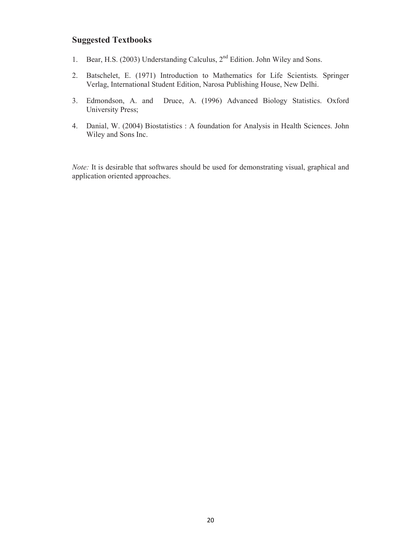## **Suggested Textbooks**

- 1. Bear, H.S. (2003) Understanding Calculus, 2nd Edition. John Wiley and Sons.
- 2. Batschelet, E. (1971) Introduction to Mathematics for Life Scientists*.* Springer Verlag, International Student Edition, Narosa Publishing House, New Delhi.
- 3. Edmondson, A. and Druce, A. (1996) Advanced Biology Statistics. Oxford University Press;
- 4. Danial, W. (2004) Biostatistics : A foundation for Analysis in Health Sciences. John Wiley and Sons Inc.

*Note:* It is desirable that softwares should be used for demonstrating visual, graphical and application oriented approaches.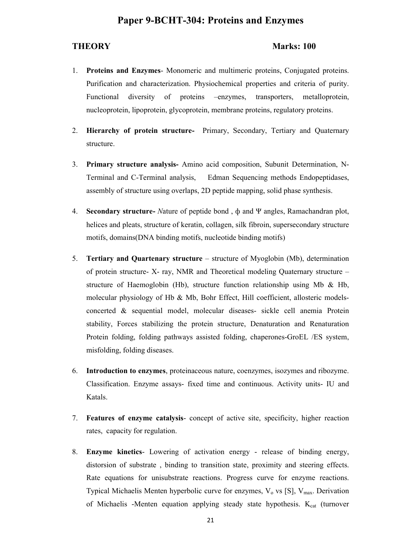## **Paper 9-BCHT-304: Proteins and Enzymes**

#### **THEORY Marks: 100**

- 1. **Proteins and Enzymes** Monomeric and multimeric proteins, Conjugated proteins. Purification and characterization. Physiochemical properties and criteria of purity. Functional diversity of proteins –enzymes, transporters, metalloprotein, nucleoprotein, lipoprotein, glycoprotein, membrane proteins, regulatory proteins.
- 2. **Hierarchy of protein structure-** Primary, Secondary, Tertiary and Quaternary structure.
- 3. **Primary structure analysis-** Amino acid composition, Subunit Determination, N-Terminal and C-Terminal analysis, Edman Sequencing methods Endopeptidases, assembly of structure using overlaps, 2D peptide mapping, solid phase synthesis.
- 4. **Secondary structure-** *N*ature of peptide bond , ф and Ψ angles, Ramachandran plot, helices and pleats, structure of keratin, collagen, silk fibroin, supersecondary structure motifs, domains(DNA binding motifs, nucleotide binding motifs)
- 5. **Tertiary and Quartenary structure** structure of Myoglobin (Mb), determination of protein structure- X- ray, NMR and Theoretical modeling Quaternary structure – structure of Haemoglobin (Hb), structure function relationship using Mb & Hb, molecular physiology of Hb  $\&$  Mb, Bohr Effect, Hill coefficient, allosteric modelsconcerted & sequential model, molecular diseases- sickle cell anemia Protein stability, Forces stabilizing the protein structure, Denaturation and Renaturation Protein folding, folding pathways assisted folding, chaperones-GroEL /ES system, misfolding, folding diseases.
- 6. **Introduction to enzymes**, proteinaceous nature, coenzymes, isozymes and ribozyme. Classification. Enzyme assays- fixed time and continuous. Activity units- IU and Katals.
- 7. **Features of enzyme catalysis** concept of active site, specificity, higher reaction rates, capacity for regulation.
- 8. **Enzyme kinetics** Lowering of activation energy release of binding energy, distorsion of substrate , binding to transition state, proximity and steering effects. Rate equations for unisubstrate reactions. Progress curve for enzyme reactions. Typical Michaelis Menten hyperbolic curve for enzymes,  $V_0$  vs [S],  $V_{\text{max}}$ . Derivation of Michaelis -Menten equation applying steady state hypothesis. K<sub>cat</sub> (turnover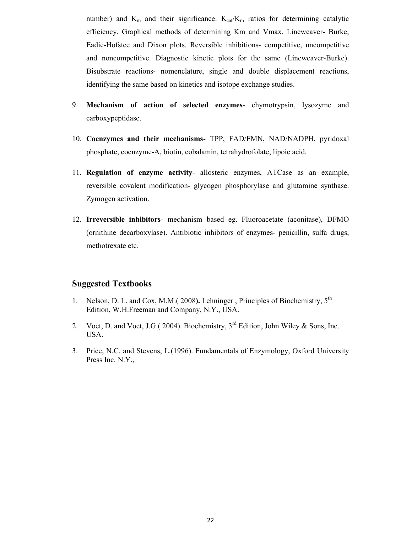number) and  $K_m$  and their significance.  $K_{cat}/K_m$  ratios for determining catalytic efficiency. Graphical methods of determining Km and Vmax. Lineweaver- Burke, Eadie-Hofstee and Dixon plots. Reversible inhibitions- competitive, uncompetitive and noncompetitive. Diagnostic kinetic plots for the same (Lineweaver-Burke). Bisubstrate reactions- nomenclature, single and double displacement reactions, identifying the same based on kinetics and isotope exchange studies.

- 9. **Mechanism of action of selected enzymes** chymotrypsin, lysozyme and carboxypeptidase.
- 10. **Coenzymes and their mechanisms** TPP, FAD/FMN, NAD/NADPH, pyridoxal phosphate, coenzyme-A, biotin, cobalamin, tetrahydrofolate, lipoic acid.
- 11. **Regulation of enzyme activity** allosteric enzymes, ATCase as an example, reversible covalent modification- glycogen phosphorylase and glutamine synthase. Zymogen activation.
- 12. **Irreversible inhibitors** mechanism based eg. Fluoroacetate (aconitase), DFMO (ornithine decarboxylase). Antibiotic inhibitors of enzymes- penicillin, sulfa drugs, methotrexate etc.

### **Suggested Textbooks**

- 1. Nelson, D. L. and Cox, M.M.( 2008**).** Lehninger , Principles of Biochemistry, 5th Edition, W.H.Freeman and Company, N.Y., USA.
- 2. Voet, D. and Voet, J.G.( 2004). Biochemistry,  $3<sup>rd</sup>$  Edition, John Wiley & Sons, Inc. USA.
- 3. Price, N.C. and Stevens, L.(1996). Fundamentals of Enzymology, Oxford University Press Inc. N.Y.,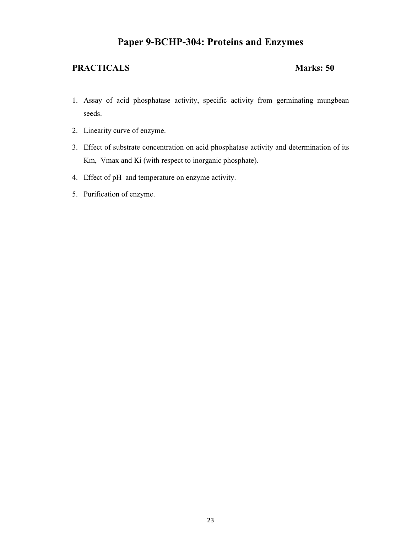## **Paper 9-BCHP-304: Proteins and Enzymes**

- 1. Assay of acid phosphatase activity, specific activity from germinating mungbean seeds.
- 2. Linearity curve of enzyme.
- 3. Effect of substrate concentration on acid phosphatase activity and determination of its Km, Vmax and Ki (with respect to inorganic phosphate).
- 4. Effect of pH and temperature on enzyme activity.
- 5. Purification of enzyme.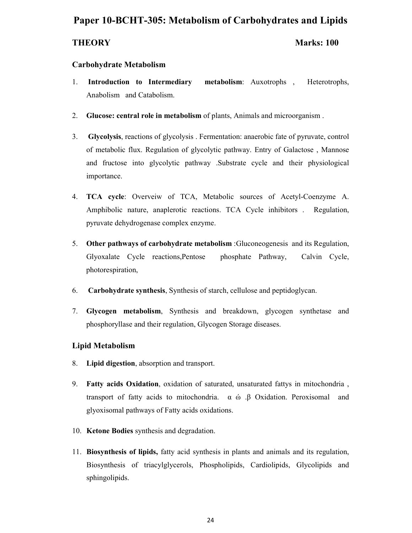## **Paper 10-BCHT-305: Metabolism of Carbohydrates and Lipids**

### **THEORY Marks: 100**

### **Carbohydrate Metabolism**

- 1. **Introduction to Intermediary metabolism**: Auxotrophs , Heterotrophs, Anabolism and Catabolism.
- 2. **Glucose: central role in metabolism** of plants, Animals and microorganism .
- 3. **Glycolysis**, reactions of glycolysis . Fermentation: anaerobic fate of pyruvate, control of metabolic flux. Regulation of glycolytic pathway. Entry of Galactose , Mannose and fructose into glycolytic pathway .Substrate cycle and their physiological importance.
- 4. **TCA cycle**: Overveiw of TCA, Metabolic sources of Acetyl-Coenzyme A. Amphibolic nature, anaplerotic reactions. TCA Cycle inhibitors . Regulation, pyruvate dehydrogenase complex enzyme.
- 5. **Other pathways of carbohydrate metabolism** :Gluconeogenesis and its Regulation, Glyoxalate Cycle reactions,Pentose phosphate Pathway, Calvin Cycle, photorespiration,
- 6. **Carbohydrate synthesis**, Synthesis of starch, cellulose and peptidoglycan.
- 7. **Glycogen metabolism**, Synthesis and breakdown, glycogen synthetase and phosphoryllase and their regulation, Glycogen Storage diseases.

### **Lipid Metabolism**

- 8. **Lipid digestion**, absorption and transport.
- 9. **Fatty acids Oxidation**, oxidation of saturated, unsaturated fattys in mitochondria , transport of fatty acids to mitochondria. α ώ .β Oxidation. Peroxisomal and glyoxisomal pathways of Fatty acids oxidations.
- 10. **Ketone Bodies** synthesis and degradation.
- 11. **Biosynthesis of lipids,** fatty acid synthesis in plants and animals and its regulation, Biosynthesis of triacylglycerols, Phospholipids, Cardiolipids, Glycolipids and sphingolipids.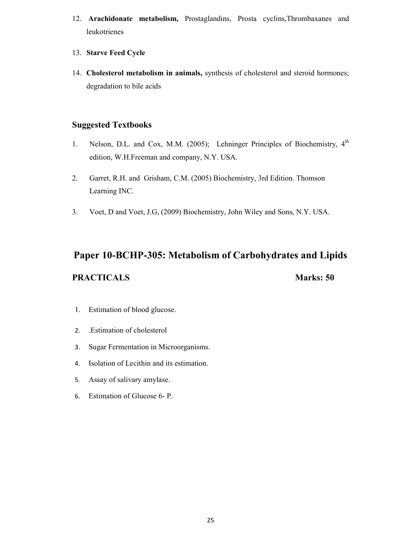- 12. **Arachidonate metabolism,** Prostaglandins, Prosta cyclins,Thrombaxanes and leukotrienes
- 13. **Starve Feed Cycle**
- 14. **Cholesterol metabolism in animals,** synthesis of cholesterol and steroid hormones; degradation to bile acids

## **Suggested Textbooks**

- 1. Nelson, D.L. and Cox, M.M. (2005); Lehninger Principles of Biochemistry, 4<sup>th</sup> edition, W.H.Freeman and company, N.Y. USA.
- 2. Garret, R.H. and Grisham, C.M. (2005) Biochemistry, 3rd Edition. Thomson Learning INC.
- 3. Voet, D and Voet, J.G, (2009) Biochemistry, John Wiley and Sons, N.Y. USA.

# **Paper 10-BCHP-305: Metabolism of Carbohydrates and Lipids**

- 1. Estimation of blood glucose.
- 2. .Estimation of cholesterol
- 3. Sugar Fermentation in Microorganisms.
- 4. Isolation of Lecithin and its estimation.
- 5. Assay of salivary amylase.
- 6. Estimation of Glucose 6- P.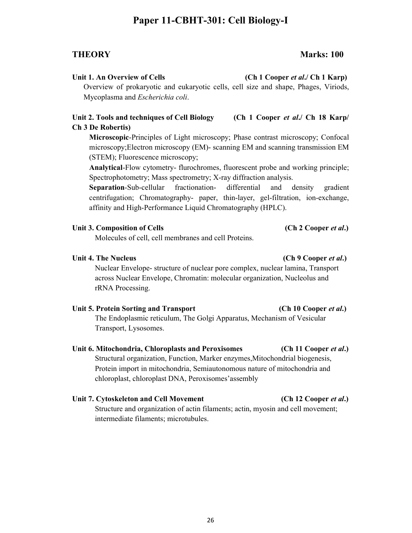## **Paper 11-CBHT-301: Cell Biology-I**

## **THEORY Marks: 100**

### Unit 1. An Overview of Cells *(Ch 1 Cooper et al.***/ Ch 1 Karp)**

Overview of prokaryotic and eukaryotic cells, cell size and shape, Phages, Viriods, Mycoplasma and *Escherichia coli*.

## **Unit 2. Tools and techniques of Cell Biology (Ch 1 Cooper** *et al***./ Ch 18 Karp/ Ch 3 De Robertis)**

**Microscopic**-Principles of Light microscopy; Phase contrast microscopy; Confocal microscopy;Electron microscopy (EM)- scanning EM and scanning transmission EM (STEM); Fluorescence microscopy;

**Analytical**-Flow cytometry- flurochromes, fluorescent probe and working principle; Spectrophotometry; Mass spectrometry; X-ray diffraction analysis.

**Separation**-Sub-cellular fractionation- differential and density gradient centrifugation; Chromatography- paper, thin-layer, gel-filtration, ion-exchange, affinity and High-Performance Liquid Chromatography (HPLC).

## Unit 3. Composition of Cells **(Ch 2 Cooper** *et al.***)**

Molecules of cell, cell membranes and cell Proteins.

### Unit 4. The Nucleus *Ch* **9 Cooper** *et al.***)**  *Ch* **9 Cooper** *et al.***)**

Nuclear Envelope- structure of nuclear pore complex, nuclear lamina, Transport across Nuclear Envelope, Chromatin: molecular organization, Nucleolus and rRNA Processing.

## Unit 5. Protein Sorting and Transport (Ch 10 Cooper *et al.*)

The Endoplasmic reticulum, The Golgi Apparatus, Mechanism of Vesicular Transport, Lysosomes.

## **Unit 6. Mitochondria, Chloroplasts and Peroxisomes (Ch 11 Cooper** *et al***.)**

Structural organization, Function, Marker enzymes,Mitochondrial biogenesis, Protein import in mitochondria, Semiautonomous nature of mitochondria and chloroplast, chloroplast DNA, Peroxisomes'assembly

## **Unit 7. Cytoskeleton and Cell Movement (Ch 12 Cooper** *et al***.)**

Structure and organization of actin filaments; actin, myosin and cell movement; intermediate filaments; microtubules.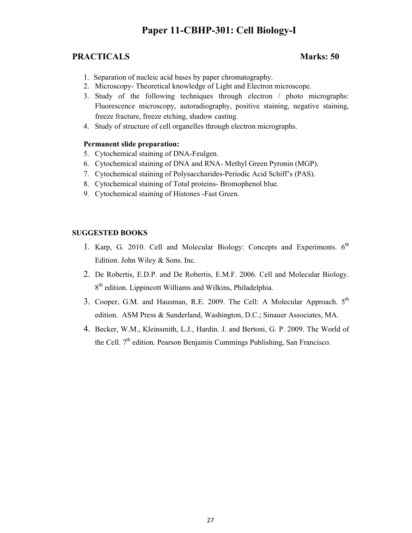## **Paper 11-CBHP-301: Cell Biology-I**

## **PRACTICALS** Marks: 50

- 1. Separation of nucleic acid bases by paper chromatography.
- 2. Microscopy- Theoretical knowledge of Light and Electron microscope.
- 3. Study of the following techniques through electron / photo micrographs: Fluorescence microscopy, autoradiography, positive staining, negative staining, freeze fracture, freeze etching, shadow casting.
- 4. Study of structure of cell organelles through electron micrographs.

### **Permanent slide preparation:**

- 5. Cytochemical staining of DNA-Feulgen.
- 6. Cytochemical staining of DNA and RNA- Methyl Green Pyronin (MGP).
- 7. Cytochemical staining of Polysaccharides-Periodic Acid Schiff's (PAS).
- 8. Cytochemical staining of Total proteins- Bromophenol blue.
- 9. Cytochemical staining of Histones -Fast Green.

### **SUGGESTED BOOKS**

- 1. Karp, G. 2010. Cell and Molecular Biology: Concepts and Experiments. 6<sup>th</sup> Edition. John Wiley & Sons. Inc.
- 2. De Robertis, E.D.P. and De Robertis, E.M.F. 2006. Cell and Molecular Biology. 8<sup>th</sup> edition. Lippincott Williams and Wilkins, Philadelphia.
- 3. Cooper, G.M. and Hausman, R.E. 2009. The Cell: A Molecular Approach.  $5<sup>th</sup>$ edition. ASM Press & Sunderland, Washington, D.C.; Sinauer Associates, MA.
- 4. Becker, W.M., Kleinsmith, L.J., Hardin. J. and Bertoni, G. P. 2009. The World of the Cell.  $7<sup>th</sup>$  edition. Pearson Benjamin Cummings Publishing, San Francisco.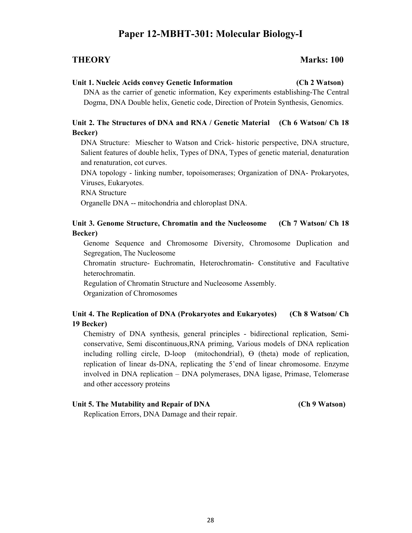## **Paper 12-MBHT-301: Molecular Biology-I**

### **THEORY Marks: 100**

#### **Unit 1. Nucleic Acids convey Genetic Information (Ch 2 Watson)**

DNA as the carrier of genetic information, Key experiments establishing-The Central Dogma, DNA Double helix, Genetic code, Direction of Protein Synthesis, Genomics.

### **Unit 2. The Structures of DNA and RNA / Genetic Material (Ch 6 Watson/ Ch 18 Becker)**

DNA Structure: Miescher to Watson and Crick- historic perspective, DNA structure, Salient features of double helix, Types of DNA, Types of genetic material, denaturation and renaturation, cot curves.

DNA topology - linking number, topoisomerases; Organization of DNA- Prokaryotes, Viruses, Eukaryotes.

RNA Structure

Organelle DNA -- mitochondria and chloroplast DNA.

## **Unit 3. Genome Structure, Chromatin and the Nucleosome (Ch 7 Watson/ Ch 18 Becker)**

Genome Sequence and Chromosome Diversity, Chromosome Duplication and Segregation, The Nucleosome

Chromatin structure- Euchromatin, Heterochromatin- Constitutive and Facultative heterochromatin.

Regulation of Chromatin Structure and Nucleosome Assembly. Organization of Chromosomes

## **Unit 4. The Replication of DNA (Prokaryotes and Eukaryotes) (Ch 8 Watson/ Ch 19 Becker)**

Chemistry of DNA synthesis, general principles - bidirectional replication, Semiconservative, Semi discontinuous,RNA priming, Various models of DNA replication including rolling circle, D-loop (mitochondrial), Ө (theta) mode of replication, replication of linear ds-DNA, replicating the 5'end of linear chromosome. Enzyme involved in DNA replication – DNA polymerases, DNA ligase, Primase, Telomerase and other accessory proteins

## Unit 5. The Mutability and Repair of DNA (Ch 9 Watson)

Replication Errors, DNA Damage and their repair.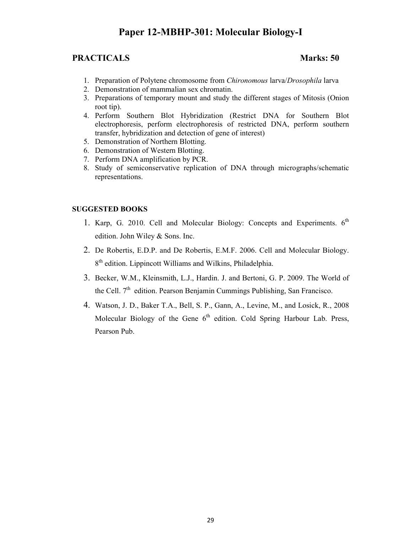## **Paper 12-MBHP-301: Molecular Biology-I**

## **PRACTICALS** Marks: 50

- 1. Preparation of Polytene chromosome from *Chironomous* larva/*Drosophila* larva
- 2. Demonstration of mammalian sex chromatin.
- 3. Preparations of temporary mount and study the different stages of Mitosis (Onion root tip).
- 4. Perform Southern Blot Hybridization (Restrict DNA for Southern Blot electrophoresis, perform electrophoresis of restricted DNA, perform southern transfer, hybridization and detection of gene of interest)
- 5. Demonstration of Northern Blotting.
- 6. Demonstration of Western Blotting.
- 7. Perform DNA amplification by PCR.
- 8. Study of semiconservative replication of DNA through micrographs/schematic representations.

#### **SUGGESTED BOOKS**

- 1. Karp, G. 2010. Cell and Molecular Biology: Concepts and Experiments.  $6<sup>th</sup>$ edition. John Wiley & Sons. Inc.
- 2. De Robertis, E.D.P. and De Robertis, E.M.F. 2006. Cell and Molecular Biology. 8<sup>th</sup> edition. Lippincott Williams and Wilkins, Philadelphia.
- 3. Becker, W.M., Kleinsmith, L.J., Hardin. J. and Bertoni, G. P. 2009. The World of the Cell.  $7<sup>th</sup>$  edition. Pearson Benjamin Cummings Publishing, San Francisco.
- 4. Watson, J. D., Baker T.A., Bell, S. P., Gann, A., Levine, M., and Losick, R., 2008 Molecular Biology of the Gene  $6<sup>th</sup>$  edition. Cold Spring Harbour Lab. Press, Pearson Pub.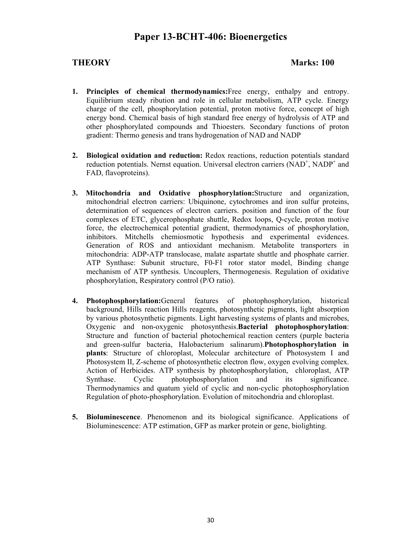## **Paper 13-BCHT-406: Bioenergetics**

### **THEORY Marks: 100**

- **1. Principles of chemical thermodynamics:**Free energy, enthalpy and entropy. Equilibrium steady ribution and role in cellular metabolism, ATP cycle. Energy charge of the cell, phosphorylation potential, proton motive force, concept of high energy bond. Chemical basis of high standard free energy of hydrolysis of ATP and other phosphorylated compounds and Thioesters. Secondary functions of proton gradient: Thermo genesis and trans hydrogenation of NAD and NADP
- **2. Biological oxidation and reduction:** Redox reactions, reduction potentials standard reduction potentials. Nernst equation. Universal electron carriers  $(NAD<sup>+</sup>, NADP<sup>+</sup>$  and FAD, flavoproteins).
- **3. Mitochondria and Oxidative phosphorylation:**Structure and organization, mitochondrial electron carriers: Ubiquinone, cytochromes and iron sulfur proteins, determination of sequences of electron carriers. position and function of the four complexes of ETC, glycerophosphate shuttle, Redox loops, Q-cycle, proton motive force, the electrochemical potential gradient, thermodynamics of phosphorylation, inhibitors. Mitchells chemiosmotic hypothesis and experimental evidences. Generation of ROS and antioxidant mechanism. Metabolite transporters in mitochondria: ADP-ATP translocase, malate aspartate shuttle and phosphate carrier. ATP Synthase: Subunit structure, F0-F1 rotor stator model, Binding change mechanism of ATP synthesis. Uncouplers, Thermogenesis. Regulation of oxidative phosphorylation, Respiratory control (P/O ratio).
- **4. Photophosphorylation:**General features of photophosphorylation, historical background, Hills reaction Hills reagents, photosynthetic pigments, light absorption by various photosynthetic pigments. Light harvesting systems of plants and microbes, Oxygenic and non-oxygenic photosynthesis.**Bacterial photophosphorylation**: Structure and function of bacterial photochemical reaction centers (purple bacteria and green-sulfur bacteria, Halobacterium salinarum).**Photophosphorylation in plants**: Structure of chloroplast, Molecular architecture of Photosystem I and Photosystem II, Z-scheme of photosynthetic electron flow, oxygen evolving complex. Action of Herbicides. ATP synthesis by photophosphorylation, chloroplast, ATP Synthase. Cyclic photophosphorylation and its significance. Thermodynamics and quatum yield of cyclic and non-cyclic photophosphorylation Regulation of photo-phosphorylation. Evolution of mitochondria and chloroplast.
- **5. Bioluminescence**. Phenomenon and its biological significance. Applications of Bioluminescence: ATP estimation, GFP as marker protein or gene, biolighting.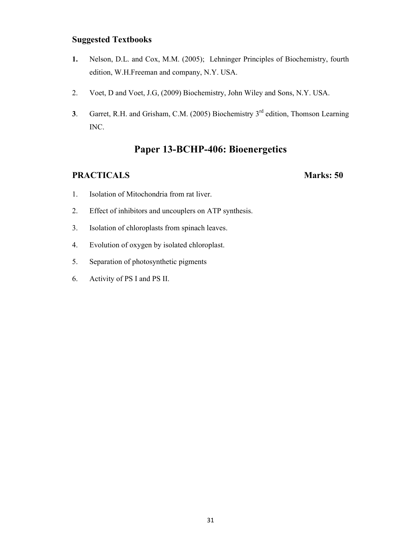## **Suggested Textbooks**

- **1.** Nelson, D.L. and Cox, M.M. (2005); Lehninger Principles of Biochemistry, fourth edition, W.H.Freeman and company, N.Y. USA.
- 2. Voet, D and Voet, J.G, (2009) Biochemistry, John Wiley and Sons, N.Y. USA.
- **3**. Garret, R.H. and Grisham, C.M. (2005) Biochemistry 3<sup>rd</sup> edition, Thomson Learning INC.

## **Paper 13-BCHP-406: Bioenergetics**

- 1. Isolation of Mitochondria from rat liver.
- 2. Effect of inhibitors and uncouplers on ATP synthesis.
- 3. Isolation of chloroplasts from spinach leaves.
- 4. Evolution of oxygen by isolated chloroplast.
- 5. Separation of photosynthetic pigments
- 6. Activity of PS I and PS II.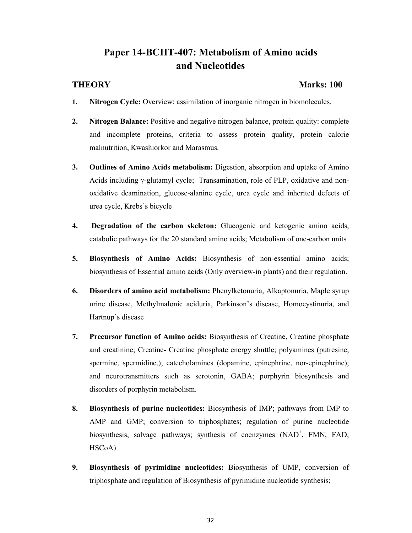## **Paper 14-BCHT-407: Metabolism of Amino acids and Nucleotides**

### **THEORY Marks: 100**

- **1. Nitrogen Cycle:** Overview; assimilation of inorganic nitrogen in biomolecules.
- **2. Nitrogen Balance:** Positive and negative nitrogen balance, protein quality: complete and incomplete proteins, criteria to assess protein quality, protein calorie malnutrition, Kwashiorkor and Marasmus.
- **3. Outlines of Amino Acids metabolism:** Digestion, absorption and uptake of Amino Acids including γ-glutamyl cycle; Transamination, role of PLP, oxidative and nonoxidative deamination, glucose-alanine cycle, urea cycle and inherited defects of urea cycle, Krebs's bicycle
- **4. Degradation of the carbon skeleton:** Glucogenic and ketogenic amino acids, catabolic pathways for the 20 standard amino acids; Metabolism of one-carbon units
- **5. Biosynthesis of Amino Acids:** Biosynthesis of non-essential amino acids; biosynthesis of Essential amino acids (Only overview-in plants) and their regulation.
- **6. Disorders of amino acid metabolism:** Phenylketonuria, Alkaptonuria, Maple syrup urine disease, Methylmalonic aciduria, Parkinson's disease, Homocystinuria, and Hartnup's disease
- **7. Precursor function of Amino acids:** Biosynthesis of Creatine, Creatine phosphate and creatinine; Creatine- Creatine phosphate energy shuttle; polyamines (putresine, spermine, spermidine,); catecholamines (dopamine, epinephrine, nor-epinephrine); and neurotransmitters such as serotonin, GABA; porphyrin biosynthesis and disorders of porphyrin metabolism.
- **8. Biosynthesis of purine nucleotides:** Biosynthesis of IMP; pathways from IMP to AMP and GMP; conversion to triphosphates; regulation of purine nucleotide biosynthesis, salvage pathways; synthesis of coenzymes (NAD<sup>+</sup>, FMN, FAD, HSCoA)
- **9. Biosynthesis of pyrimidine nucleotides:** Biosynthesis of UMP, conversion of triphosphate and regulation of Biosynthesis of pyrimidine nucleotide synthesis;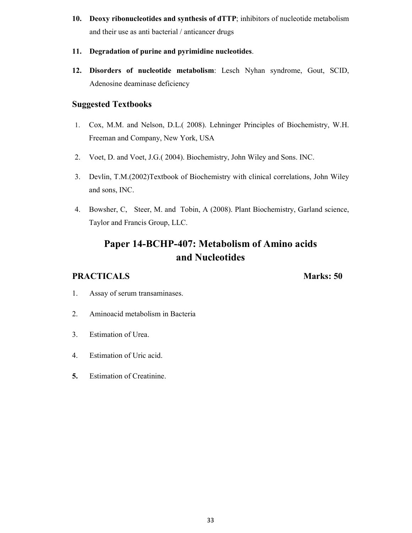**10. Deoxy ribonucleotides and synthesis of dTTP**; inhibitors of nucleotide metabolism and their use as anti bacterial / anticancer drugs

### **11. Degradation of purine and pyrimidine nucleotides**.

**12. Disorders of nucleotide metabolism**: Lesch Nyhan syndrome, Gout, SCID, Adenosine deaminase deficiency

## **Suggested Textbooks**

- 1. Cox, M.M. and Nelson, D.L.( 2008). Lehninger Principles of Biochemistry, W.H. Freeman and Company, New York, USA
- 2. Voet, D. and Voet, J.G.( 2004). Biochemistry, John Wiley and Sons. INC.
- 3. Devlin, T.M.(2002)Textbook of Biochemistry with clinical correlations, John Wiley and sons, INC.
- 4. Bowsher, C, Steer, M. and Tobin, A (2008). Plant Biochemistry, Garland science, Taylor and Francis Group, LLC.

## **Paper 14-BCHP-407: Metabolism of Amino acids and Nucleotides**

- 1. Assay of serum transaminases.
- 2. Aminoacid metabolism in Bacteria
- 3. Estimation of Urea.
- 4. Estimation of Uric acid.
- **5.** Estimation of Creatinine.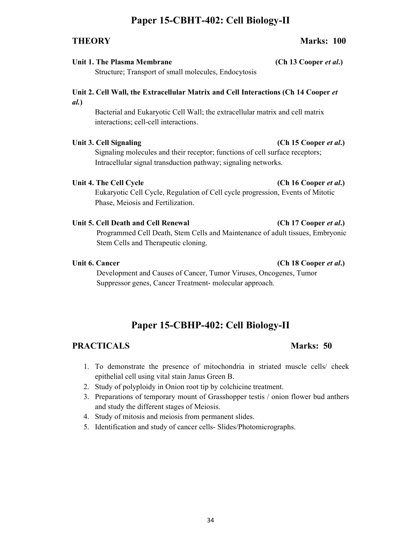## **Paper 15-CBHT-402: Cell Biology-II**

## Unit 1. The Plasma Membrane **(Ch 13 Cooper** *et al.***)**

Structure; Transport of small molecules, Endocytosis

## **Unit 2. Cell Wall, the Extracellular Matrix and Cell Interactions (Ch 14 Cooper** *et al.***)**

Bacterial and Eukaryotic Cell Wall; the extracellular matrix and cell matrix interactions; cell-cell interactions.

### Unit 3. Cell Signaling **(Ch 15 Cooper** *et al.***)**

Signaling molecules and their receptor; functions of cell surface receptors; Intracellular signal transduction pathway; signaling networks.

### Unit 4. The Cell Cycle *(Ch 16 Cooper et al.***) (Ch 16 Cooper** *et al.***)**

Eukaryotic Cell Cycle, Regulation of Cell cycle progression, Events of Mitotic Phase, Meiosis and Fertilization.

Unit 5. Cell Death and Cell Renewal **(Ch 17 Cooper** *et al.***)** 

Programmed Cell Death, Stem Cells and Maintenance of adult tissues, Embryonic Stem Cells and Therapeutic cloning.

## Unit 6. Cancer **(Ch 18 Cooper** *et al.***)**

Development and Causes of Cancer, Tumor Viruses, Oncogenes, Tumor Suppressor genes, Cancer Treatment- molecular approach.

## **Paper 15-CBHP-402: Cell Biology-II**

## **PRACTICALS** Marks: 50

- 1. To demonstrate the presence of mitochondria in striated muscle cells/ cheek
- epithelial cell using vital stain Janus Green B.
- 2. Study of polyploidy in Onion root tip by colchicine treatment.
- 3. Preparations of temporary mount of Grasshopper testis / onion flower bud anthers and study the different stages of Meiosis.
- 4. Study of mitosis and meiosis from permanent slides.
- 5. Identification and study of cancer cells- Slides/Photomicrographs.

### **THEORY Marks: 100**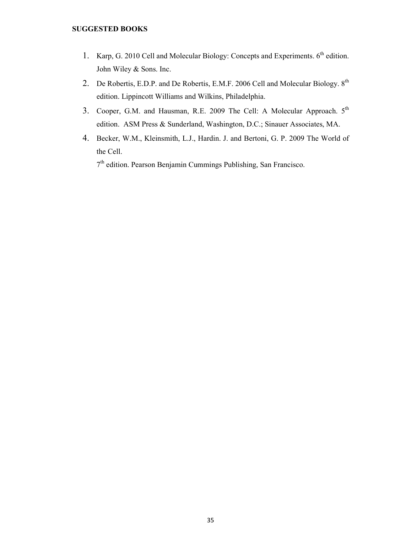#### **SUGGESTED BOOKS**

- 1. Karp, G. 2010 Cell and Molecular Biology: Concepts and Experiments. 6<sup>th</sup> edition. John Wiley & Sons. Inc.
- 2. De Robertis, E.D.P. and De Robertis, E.M.F. 2006 Cell and Molecular Biology. 8<sup>th</sup> edition. Lippincott Williams and Wilkins, Philadelphia.
- 3. Cooper, G.M. and Hausman, R.E. 2009 The Cell: A Molecular Approach. 5<sup>th</sup> edition. ASM Press & Sunderland, Washington, D.C.; Sinauer Associates, MA.
- 4. Becker, W.M., Kleinsmith, L.J., Hardin. J. and Bertoni, G. P. 2009 The World of the Cell.

7 th edition. Pearson Benjamin Cummings Publishing, San Francisco.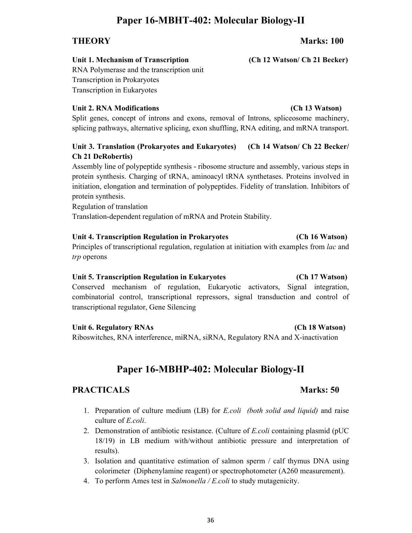## **Paper 16-MBHT-402: Molecular Biology-II**

## **Unit 1. Mechanism of Transcription (Ch 12 Watson/ Ch 21 Becker)**

RNA Polymerase and the transcription unit Transcription in Prokaryotes Transcription in Eukaryotes

## **Unit 2. RNA Modifications (Ch 13 Watson)**

Split genes, concept of introns and exons, removal of Introns, spliceosome machinery, splicing pathways, alternative splicing, exon shuffling, RNA editing, and mRNA transport.

## **Unit 3. Translation (Prokaryotes and Eukaryotes) (Ch 14 Watson/ Ch 22 Becker/ Ch 21 DeRobertis)**

Assembly line of polypeptide synthesis - ribosome structure and assembly, various steps in protein synthesis. Charging of tRNA, aminoacyl tRNA synthetases. Proteins involved in initiation, elongation and termination of polypeptides. Fidelity of translation. Inhibitors of protein synthesis.

Regulation of translation

Translation-dependent regulation of mRNA and Protein Stability.

## **Unit 4. Transcription Regulation in Prokaryotes (Ch 16 Watson)**

Principles of transcriptional regulation, regulation at initiation with examples from *lac* and *trp* operons

## **Unit 5. Transcription Regulation in Eukaryotes (Ch 17 Watson)**

Conserved mechanism of regulation, Eukaryotic activators, Signal integration, combinatorial control, transcriptional repressors, signal transduction and control of transcriptional regulator, Gene Silencing

## **Unit 6. Regulatory RNAs (Ch 18 Watson)**

Riboswitches, RNA interference, miRNA, siRNA, Regulatory RNA and X-inactivation

# **Paper 16-MBHP-402: Molecular Biology-II**

## **PRACTICALS** Marks: 50

- 1. Preparation of culture medium (LB) for *E.coli (both solid and liquid)* and raise culture of *E.coli*.
- 2. Demonstration of antibiotic resistance. (Culture of *E.coli* containing plasmid (pUC 18/19) in LB medium with/without antibiotic pressure and interpretation of results).
- 3. Isolation and quantitative estimation of salmon sperm / calf thymus DNA using colorimeter (Diphenylamine reagent) or spectrophotometer (A260 measurement).
- 4. To perform Ames test in *Salmonella / E.coli* to study mutagenicity.

## **THEORY Marks: 100**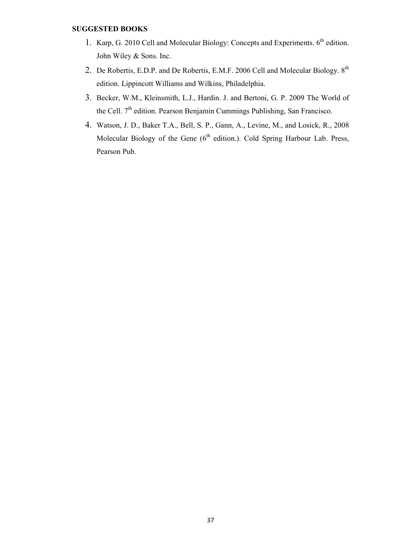#### **SUGGESTED BOOKS**

- 1. Karp, G. 2010 Cell and Molecular Biology: Concepts and Experiments.  $6<sup>th</sup>$  edition. John Wiley & Sons. Inc.
- 2. De Robertis, E.D.P. and De Robertis, E.M.F. 2006 Cell and Molecular Biology. 8<sup>th</sup> edition. Lippincott Williams and Wilkins, Philadelphia.
- 3. Becker, W.M., Kleinsmith, L.J., Hardin. J. and Bertoni, G. P. 2009 The World of the Cell. 7<sup>th</sup> edition. Pearson Benjamin Cummings Publishing, San Francisco.
- 4. Watson, J. D., Baker T.A., Bell, S. P., Gann, A., Levine, M., and Losick, R., 2008 Molecular Biology of the Gene  $(6<sup>th</sup>$  edition.). Cold Spring Harbour Lab. Press, Pearson Pub.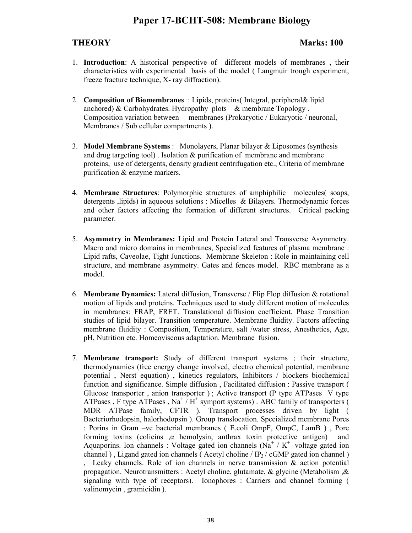## **Paper 17-BCHT-508: Membrane Biology**

## **THEORY Marks: 100**

- 1. **Introduction**: A historical perspective of different models of membranes , their characteristics with experimental basis of the model ( Langmuir trough experiment, freeze fracture technique, X- ray diffraction).
- 2. **Composition of Biomembranes** : Lipids, proteins( Integral, peripheral& lipid anchored) & Carbohydrates. Hydropathy plots & membrane Topology . Composition variation between membranes (Prokaryotic / Eukaryotic / neuronal, Membranes / Sub cellular compartments ).
- 3. **Model Membrane Systems** : Monolayers, Planar bilayer & Liposomes (synthesis and drug targeting tool) . Isolation & purification of membrane and membrane proteins, use of detergents, density gradient centrifugation etc., Criteria of membrane purification & enzyme markers.
- 4. **Membrane Structures**: Polymorphic structures of amphiphilic molecules( soaps, detergents ,lipids) in aqueous solutions : Micelles & Bilayers. Thermodynamic forces and other factors affecting the formation of different structures. Critical packing parameter.
- 5. **Asymmetry in Membranes:** Lipid and Protein Lateral and Transverse Asymmetry. Macro and micro domains in membranes, Specialized features of plasma membrane : Lipid rafts, Caveolae, Tight Junctions. Membrane Skeleton : Role in maintaining cell structure, and membrane asymmetry. Gates and fences model. RBC membrane as a model.
- 6. **Membrane Dynamics:** Lateral diffusion, Transverse / Flip Flop diffusion & rotational motion of lipids and proteins. Techniques used to study different motion of molecules in membranes: FRAP, FRET. Translational diffusion coefficient. Phase Transition studies of lipid bilayer. Transition temperature. Membrane fluidity. Factors affecting membrane fluidity : Composition, Temperature, salt /water stress, Anesthetics, Age, pH, Nutrition etc. Homeoviscous adaptation. Membrane fusion.
- 7. **Membrane transport:** Study of different transport systems ; their structure, thermodynamics (free energy change involved, electro chemical potential, membrane potential , Nerst equation) , kinetics regulators, Inhibitors / blockers biochemical function and significance. Simple diffusion , Facilitated diffusion : Passive transport ( Glucose transporter , anion transporter ) ; Active transport (P type ATPases V type ATPases, F type ATPases, Na<sup>+</sup>  $/H$ <sup>+</sup> symport systems). ABC family of transporters ( MDR ATPase family, CFTR ). Transport processes driven by light ( Bacteriorhodopsin, halorhodopsin ). Group translocation. Specialized membrane Pores : Porins in Gram –ve bacterial membranes ( E.coli OmpF, OmpC, LamB ) , Pore forming toxins (colicins ,α hemolysin, anthrax toxin protective antigen) and Aquaporins. Ion channels : Voltage gated ion channels ( $\overline{Na}^+$  / K<sup>+</sup> voltage gated ion channel), Ligand gated ion channels (Acetyl choline /  $IP_3$ / cGMP gated ion channel) , Leaky channels. Role of ion channels in nerve transmission & action potential propagation. Neurotransmitters : Acetyl choline, glutamate, & glycine (Metabolism ,& signaling with type of receptors). Ionophores : Carriers and channel forming ( valinomycin , gramicidin ).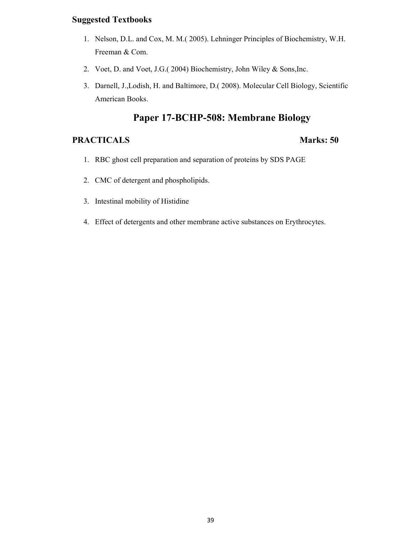## **Suggested Textbooks**

- 1. Nelson, D.L. and Cox, M. M.( 2005). Lehninger Principles of Biochemistry, W.H. Freeman & Com.
- 2. Voet, D. and Voet, J.G.( 2004) Biochemistry, John Wiley & Sons,Inc.
- 3. Darnell, J.,Lodish, H. and Baltimore, D.( 2008). Molecular Cell Biology, Scientific American Books.

## **Paper 17-BCHP-508: Membrane Biology**

- 1. RBC ghost cell preparation and separation of proteins by SDS PAGE
- 2. CMC of detergent and phospholipids.
- 3. Intestinal mobility of Histidine
- 4. Effect of detergents and other membrane active substances on Erythrocytes.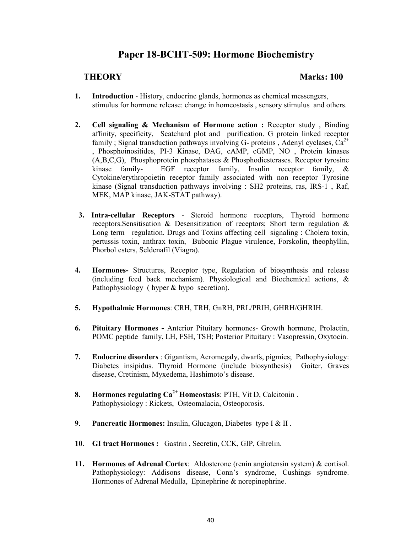## **Paper 18-BCHT-509: Hormone Biochemistry**

## **THEORY Marks: 100**

- **1. Introduction** History, endocrine glands, hormones as chemical messengers, stimulus for hormone release: change in homeostasis , sensory stimulus and others.
- **2. Cell signaling & Mechanism of Hormone action :** Receptor study , Binding affinity, specificity, Scatchard plot and purification. G protein linked receptor family ; Signal transduction pathways involving G- proteins, Adenyl cyclases,  $Ca^{2+}$ , Phosphoinositides, PI-3 Kinase, DAG, cAMP, cGMP, NO , Protein kinases (A,B,C,G), Phosphoprotein phosphatases & Phosphodiesterases. Receptor tyrosine kinase family- EGF receptor family, Insulin receptor family, & Cytokine/erythropoietin receptor family associated with non receptor Tyrosine kinase (Signal transduction pathways involving : SH2 proteins, ras, IRS-1 , Raf, MEK, MAP kinase, JAK-STAT pathway).
- **3. Intra-cellular Receptors** Steroid hormone receptors, Thyroid hormone receptors.Sensitisation & Desensitization of receptors; Short term regulation & Long term regulation. Drugs and Toxins affecting cell signaling : Cholera toxin, pertussis toxin, anthrax toxin, Bubonic Plague virulence, Forskolin, theophyllin, Phorbol esters, Seldenafil (Viagra).
- **4. Hormones-** Structures, Receptor type, Regulation of biosynthesis and release (including feed back mechanism). Physiological and Biochemical actions, & Pathophysiology ( hyper & hypo secretion).
- **5. Hypothalmic Hormones**: CRH, TRH, GnRH, PRL/PRIH, GHRH/GHRIH.
- **6. Pituitary Hormones** Anterior Pituitary hormones- Growth hormone, Prolactin, POMC peptide family, LH, FSH, TSH; Posterior Pituitary : Vasopressin, Oxytocin.
- **7. Endocrine disorders** : Gigantism, Acromegaly, dwarfs, pigmies; Pathophysiology: Diabetes insipidus. Thyroid Hormone (include biosynthesis) Goiter, Graves disease, Cretinism, Myxedema, Hashimoto's disease.
- **8. Hormones regulating Ca2+ Homeostasis**: PTH, Vit D, Calcitonin . Pathophysiology : Rickets, Osteomalacia, Osteoporosis.
- **9**. **Pancreatic Hormones:** Insulin, Glucagon, Diabetes type I & II .
- **10**. **GI tract Hormones :**Gastrin , Secretin, CCK, GIP, Ghrelin.
- **11. Hormones of Adrenal Cortex**: Aldosterone (renin angiotensin system) & cortisol. Pathophysiology: Addisons disease, Conn's syndrome, Cushings syndrome. Hormones of Adrenal Medulla, Epinephrine & norepinephrine.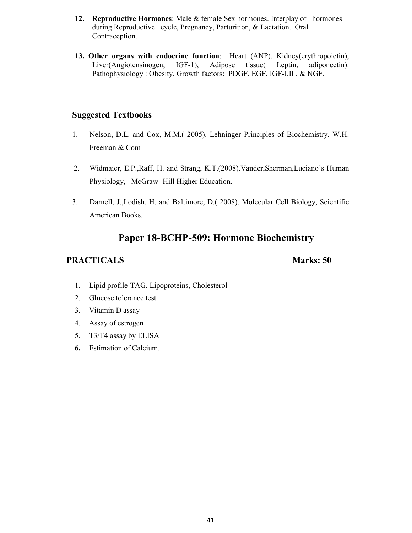- **12. Reproductive Hormones**: Male & female Sex hormones. Interplay of hormones during Reproductive cycle, Pregnancy, Parturition, & Lactation. Oral Contraception.
- **13. Other organs with endocrine function**: Heart (ANP), Kidney(erythropoietin), Liver(Angiotensinogen, IGF-1), Adipose tissue( Leptin, adiponectin). Pathophysiology : Obesity. Growth factors: PDGF, EGF, IGF-I,II , & NGF.

## **Suggested Textbooks**

- 1. Nelson, D.L. and Cox, M.M.( 2005). Lehninger Principles of Biochemistry, W.H. Freeman & Com
- 2. Widmaier, E.P.,Raff, H. and Strang, K.T.(2008).Vander,Sherman,Luciano's Human Physiology, McGraw- Hill Higher Education.
- 3. Darnell, J.,Lodish, H. and Baltimore, D.( 2008). Molecular Cell Biology, Scientific American Books.

## **Paper 18-BCHP-509: Hormone Biochemistry**

- 1. Lipid profile-TAG, Lipoproteins, Cholesterol
- 2. Glucose tolerance test
- 3. Vitamin D assay
- 4. Assay of estrogen
- 5. T3/T4 assay by ELISA
- **6.** Estimation of Calcium.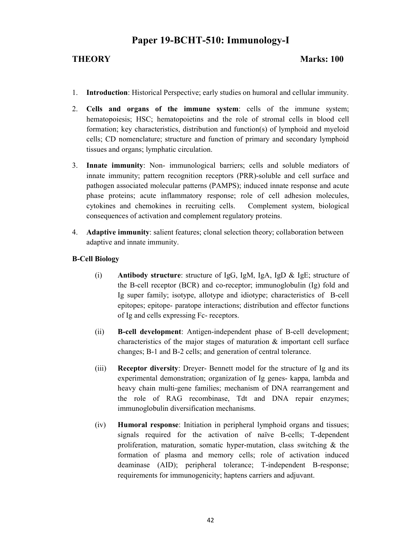## **Paper 19-BCHT-510: Immunology-I**

### **THEORY Marks: 100**

- 1. **Introduction**: Historical Perspective; early studies on humoral and cellular immunity.
- 2. **Cells and organs of the immune system**: cells of the immune system; hematopoiesis; HSC; hematopoietins and the role of stromal cells in blood cell formation; key characteristics, distribution and function(s) of lymphoid and myeloid cells; CD nomenclature; structure and function of primary and secondary lymphoid tissues and organs; lymphatic circulation.
- 3. **Innate immunity**: Non- immunological barriers; cells and soluble mediators of innate immunity; pattern recognition receptors (PRR)-soluble and cell surface and pathogen associated molecular patterns (PAMPS); induced innate response and acute phase proteins; acute inflammatory response; role of cell adhesion molecules, cytokines and chemokines in recruiting cells. Complement system, biological consequences of activation and complement regulatory proteins.
- 4. **Adaptive immunity**: salient features; clonal selection theory; collaboration between adaptive and innate immunity.

## **B-Cell Biology**

- (i) **Antibody structure**: structure of IgG, IgM, IgA, IgD & IgE; structure of the B-cell receptor (BCR) and co-receptor; immunoglobulin (Ig) fold and Ig super family; isotype, allotype and idiotype; characteristics of B-cell epitopes; epitope- paratope interactions; distribution and effector functions of Ig and cells expressing Fc- receptors.
- (ii) **B-cell development**: Antigen-independent phase of B-cell development; characteristics of the major stages of maturation  $\&$  important cell surface changes; B-1 and B-2 cells; and generation of central tolerance.
- (iii) **Receptor diversity**: Dreyer- Bennett model for the structure of Ig and its experimental demonstration; organization of Ig genes- kappa, lambda and heavy chain multi-gene families; mechanism of DNA rearrangement and the role of RAG recombinase, Tdt and DNA repair enzymes; immunoglobulin diversification mechanisms.
- (iv) **Humoral response**: Initiation in peripheral lymphoid organs and tissues; signals required for the activation of naïve B-cells; T-dependent proliferation, maturation, somatic hyper-mutation, class switching  $\&$  the formation of plasma and memory cells; role of activation induced deaminase (AID); peripheral tolerance; T-independent B-response; requirements for immunogenicity; haptens carriers and adjuvant.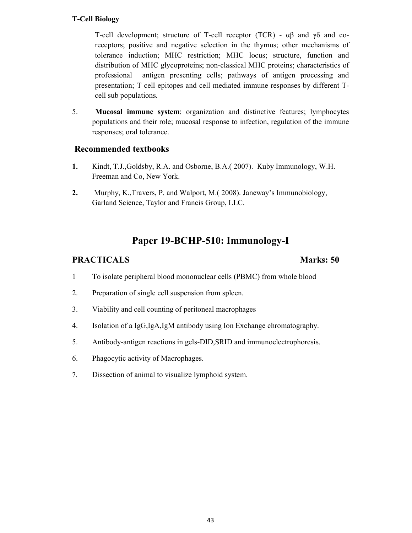## **T-Cell Biology**

T-cell development; structure of T-cell receptor (TCR) -  $\alpha\beta$  and  $\gamma\delta$  and coreceptors; positive and negative selection in the thymus; other mechanisms of tolerance induction; MHC restriction; MHC locus; structure, function and distribution of MHC glycoproteins; non-classical MHC proteins; characteristics of professional antigen presenting cells; pathways of antigen processing and presentation; T cell epitopes and cell mediated immune responses by different Tcell sub populations.

5. **Mucosal immune system**: organization and distinctive features; lymphocytes populations and their role; mucosal response to infection, regulation of the immune responses; oral tolerance.

## **Recommended textbooks**

- **1.** Kindt, T.J.,Goldsby, R.A. and Osborne, B.A.( 2007). Kuby Immunology, W.H. Freeman and Co, New York.
- **2.** Murphy, K.,Travers, P. and Walport, M.( 2008). Janeway's Immunobiology, Garland Science, Taylor and Francis Group, LLC.

## **Paper 19-BCHP-510: Immunology-I**

- 1 To isolate peripheral blood mononuclear cells (PBMC) from whole blood
- 2. Preparation of single cell suspension from spleen.
- 3. Viability and cell counting of peritoneal macrophages
- 4. Isolation of a IgG,IgA,IgM antibody using Ion Exchange chromatography.
- 5. Antibody-antigen reactions in gels-DID,SRID and immunoelectrophoresis.
- 6. Phagocytic activity of Macrophages.
- 7. Dissection of animal to visualize lymphoid system.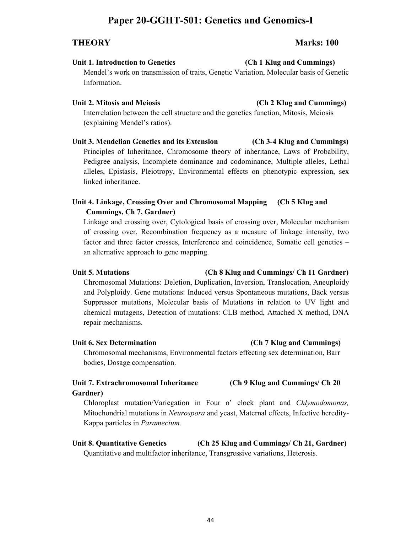## **Paper 20-GGHT-501: Genetics and Genomics-I**

### **Unit 1. Introduction to Genetics (Ch 1 Klug and Cummings)**

Mendel's work on transmission of traits, Genetic Variation, Molecular basis of Genetic Information.

### **Unit 2. Mitosis and Meiosis (Ch 2 Klug and Cummings)**

Interrelation between the cell structure and the genetics function, Mitosis, Meiosis (explaining Mendel's ratios).

**Unit 3. Mendelian Genetics and its Extension (Ch 3-4 Klug and Cummings)** Principles of Inheritance, Chromosome theory of inheritance, Laws of Probability, Pedigree analysis, Incomplete dominance and codominance, Multiple alleles, Lethal alleles, Epistasis, Pleiotropy, Environmental effects on phenotypic expression, sex linked inheritance.

## **Unit 4. Linkage, Crossing Over and Chromosomal Mapping (Ch 5 Klug and Cummings, Ch 7, Gardner)**

Linkage and crossing over, Cytological basis of crossing over, Molecular mechanism of crossing over, Recombination frequency as a measure of linkage intensity, two factor and three factor crosses, Interference and coincidence, Somatic cell genetics – an alternative approach to gene mapping.

### **Unit 5. Mutations (Ch 8 Klug and Cummings/ Ch 11 Gardner)**

Chromosomal Mutations: Deletion, Duplication, Inversion, Translocation, Aneuploidy and Polyploidy. Gene mutations: Induced versus Spontaneous mutations, Back versus Suppressor mutations, Molecular basis of Mutations in relation to UV light and chemical mutagens, Detection of mutations: CLB method, Attached X method, DNA repair mechanisms.

### Unit 6. Sex Determination **(Ch 7 Klug and Cummings)**

Chromosomal mechanisms, Environmental factors effecting sex determination, Barr bodies, Dosage compensation.

## **Unit 7. Extrachromosomal Inheritance (Ch 9 Klug and Cummings/ Ch 20 Gardner)**

Chloroplast mutation/Variegation in Four o' clock plant and *Chlymodomonas,*  Mitochondrial mutations in *Neurospora* and yeast, Maternal effects, Infective heredity-Kappa particles in *Paramecium.*

## **Unit 8. Quantitative Genetics (Ch 25 Klug and Cummings/ Ch 21, Gardner)**

44

Quantitative and multifactor inheritance, Transgressive variations, Heterosis.

## **THEORY Marks: 100**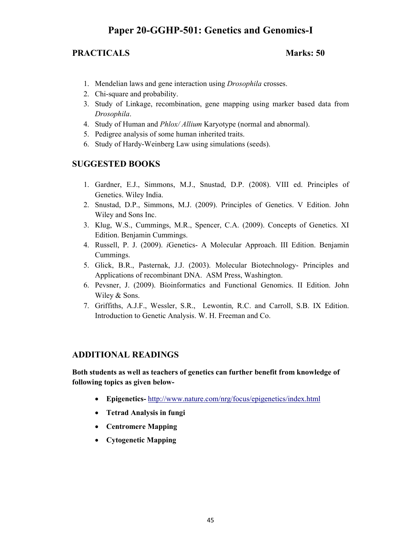## **Paper 20-GGHP-501: Genetics and Genomics-I**

## **PRACTICALS** Marks: 50

- 1. Mendelian laws and gene interaction using *Drosophila* crosses.
- 2. Chi-square and probability.
- 3. Study of Linkage, recombination, gene mapping using marker based data from *Drosophila*.
- 4. Study of Human and *Phlox/ Allium* Karyotype (normal and abnormal).
- 5. Pedigree analysis of some human inherited traits.
- 6. Study of Hardy-Weinberg Law using simulations (seeds).

## **SUGGESTED BOOKS**

- 1. Gardner, E.J., Simmons, M.J., Snustad, D.P. (2008). VIII ed. Principles of Genetics. Wiley India.
- 2. Snustad, D.P., Simmons, M.J. (2009). Principles of Genetics. V Edition. John Wiley and Sons Inc.
- 3. Klug, W.S., Cummings, M.R., Spencer, C.A. (2009). Concepts of Genetics. XI Edition. Benjamin Cummings.
- 4. Russell, P. J. (2009). *i*Genetics- A Molecular Approach. III Edition. Benjamin Cummings.
- 5. Glick, B.R., Pasternak, J.J. (2003). Molecular Biotechnology- Principles and Applications of recombinant DNA. ASM Press, Washington.
- 6. Pevsner, J. (2009). Bioinformatics and Functional Genomics. II Edition. John Wiley & Sons.
- 7. Griffiths, A.J.F., Wessler, S.R., Lewontin, R.C. and Carroll, S.B. IX Edition. Introduction to Genetic Analysis. W. H. Freeman and Co.

### **ADDITIONAL READINGS**

**Both students as well as teachers of genetics can further benefit from knowledge of following topics as given below-** 

- **Epigenetics-** http://www.nature.com/nrg/focus/epigenetics/index.html
- **Tetrad Analysis in fungi**
- **Centromere Mapping**
- **Cytogenetic Mapping**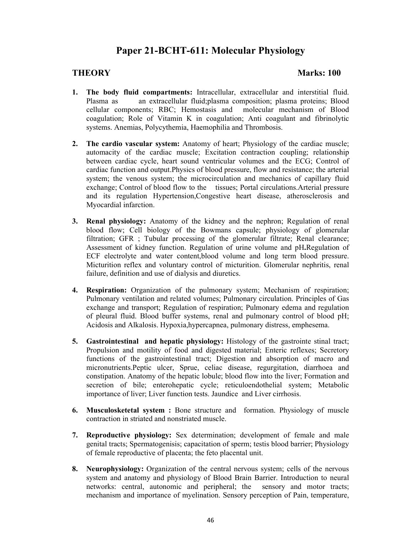## **Paper 21-BCHT-611: Molecular Physiology**

### **THEORY Marks: 100**

- **1. The body fluid compartments:** Intracellular, extracellular and interstitial fluid. Plasma as an extracellular fluid;plasma composition; plasma proteins; Blood cellular components; RBC; Hemostasis and molecular mechanism of Blood coagulation; Role of Vitamin K in coagulation; Anti coagulant and fibrinolytic systems. Anemias, Polycythemia, Haemophilia and Thrombosis.
- **2. The cardio vascular system:** Anatomy of heart; Physiology of the cardiac muscle; automacity of the cardiac muscle; Excitation contraction coupling; relationship between cardiac cycle, heart sound ventricular volumes and the ECG; Control of cardiac function and output.Physics of blood pressure, flow and resistance; the arterial system; the venous system; the microcirculation and mechanics of capillary fluid exchange; Control of blood flow to the tissues; Portal circulations.Arterial pressure and its regulation Hypertension,Congestive heart disease, atherosclerosis and Myocardial infarction.
- **3. Renal physiology:** Anatomy of the kidney and the nephron; Regulation of renal blood flow; Cell biology of the Bowmans capsule; physiology of glomerular filtration; GFR ; Tubular processing of the glomerular filtrate; Renal clearance; Assessment of kidney function. Regulation of urine volume and pH**.**Regulation of ECF electrolyte and water content,blood volume and long term blood pressure. Micturition reflex and voluntary control of micturition. Glomerular nephritis, renal failure, definition and use of dialysis and diuretics.
- **4. Respiration:** Organization of the pulmonary system; Mechanism of respiration; Pulmonary ventilation and related volumes; Pulmonary circulation. Principles of Gas exchange and transport; Regulation of respiration; Pulmonary edema and regulation of pleural fluid. Blood buffer systems, renal and pulmonary control of blood pH; Acidosis and Alkalosis. Hypoxia,hypercapnea, pulmonary distress, emphesema.
- **5.** Gastrointestinal and hepatic physiology: Histology of the gastrointe stinal tract; Propulsion and motility of food and digested material; Enteric reflexes; Secretory functions of the gastrointestinal tract; Digestion and absorption of macro and micronutrients.Peptic ulcer, Sprue, celiac disease, regurgitation, diarrhoea and constipation. Anatomy of the hepatic lobule; blood flow into the liver; Formation and secretion of bile; enterohepatic cycle; reticuloendothelial system; Metabolic importance of liver; Liver function tests. Jaundice and Liver cirrhosis.
- **6. Musculosketetal system :** Bone structure and formation. Physiology of muscle contraction in striated and nonstriated muscle.
- **7. Reproductive physiology:** Sex determination; development of female and male genital tracts; Spermatogenisis; capacitation of sperm; testis blood barrier; Physiology of female reproductive of placenta; the feto placental unit.
- **8. Neurophysiology:** Organization of the central nervous system; cells of the nervous system and anatomy and physiology of Blood Brain Barrier. Introduction to neural networks: central, autonomic and peripheral; the sensory and motor tracts; mechanism and importance of myelination. Sensory perception of Pain, temperature,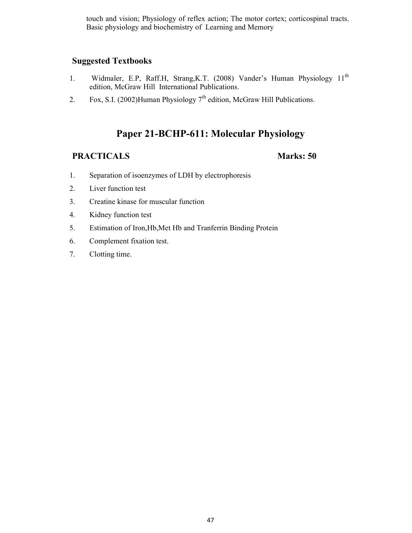touch and vision; Physiology of reflex action; The motor cortex; corticospinal tracts. Basic physiology and biochemistry of Learning and Memory

## **Suggested Textbooks**

- 1. Widmaler, E.P, Raff.H, Strang, K.T. (2008) Vander's Human Physiology 11<sup>th</sup> edition, McGraw Hill International Publications.
- 2. Fox, S.I. (2002)Human Physiology  $7<sup>th</sup>$  edition, McGraw Hill Publications.

## **Paper 21-BCHP-611: Molecular Physiology**

- 1. Separation of isoenzymes of LDH by electrophoresis
- 2. Liver function test
- 3. Creatine kinase for muscular function
- 4. Kidney function test
- 5. Estimation of Iron,Hb,Met Hb and Tranferrin Binding Protein
- 6. Complement fixation test.
- 7. Clotting time.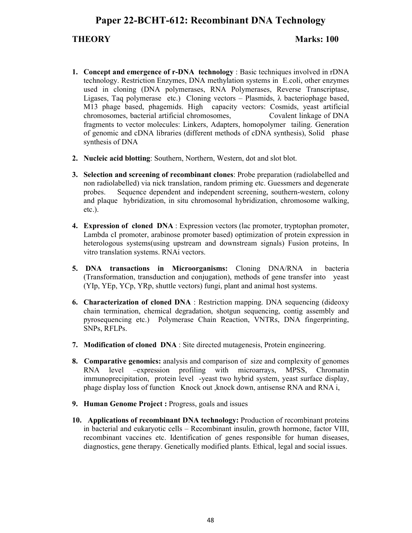## **Paper 22-BCHT-612: Recombinant DNA Technology**

### **THEORY Marks: 100**

- **1. Concept and emergence of r-DNA technology** : Basic techniques involved in rDNA technology. Restriction Enzymes, DNA methylation systems in E.coli, other enzymes used in cloning (DNA polymerases, RNA Polymerases, Reverse Transcriptase, Ligases, Taq polymerase etc.) Cloning vectors – Plasmids,  $\lambda$  bacteriophage based, M13 phage based, phagemids. High capacity vectors: Cosmids, yeast artificial chromosomes, bacterial artificial chromosomes, Covalent linkage of DNA fragments to vector molecules: Linkers, Adapters, homopolymer tailing. Generation of genomic and cDNA libraries (different methods of cDNA synthesis), Solid phase synthesis of DNA
- **2. Nucleic acid blotting**: Southern, Northern, Western, dot and slot blot.
- **3. Selection and screening of recombinant clones**: Probe preparation (radiolabelled and non radiolabelled) via nick translation, random priming etc. Guessmers and degenerate probes. Sequence dependent and independent screening, southern-western, colony and plaque hybridization, in situ chromosomal hybridization, chromosome walking, etc.).
- **4. Expression of cloned DNA** : Expression vectors (lac promoter, tryptophan promoter, Lambda cI promoter, arabinose promoter based) optimization of protein expression in heterologous systems(using upstream and downstream signals) Fusion proteins, In vitro translation systems. RNAi vectors.
- **5. DNA transactions in Microorganisms:** Cloning DNA/RNA in bacteria (Transformation, transduction and conjugation), methods of gene transfer into yeast (YIp, YEp, YCp, YRp, shuttle vectors) fungi, plant and animal host systems.
- **6. Characterization of cloned DNA** : Restriction mapping. DNA sequencing (dideoxy chain termination, chemical degradation, shotgun sequencing, contig assembly and pyrosequencing etc.) Polymerase Chain Reaction, VNTRs, DNA fingerprinting, SNPs, RFLPs.
- **7. Modification of cloned DNA** : Site directed mutagenesis, Protein engineering.
- **8. Comparative genomics:** analysis and comparison of size and complexity of genomes RNA level –expression profiling with microarrays, MPSS, Chromatin immunoprecipitation, protein level -yeast two hybrid system, yeast surface display, phage display loss of function Knock out ,knock down, antisense RNA and RNA i,
- **9. Human Genome Project : Progress, goals and issues**
- **10. Applications of recombinant DNA technology:** Production of recombinant proteins in bacterial and eukaryotic cells – Recombinant insulin, growth hormone, factor VIII, recombinant vaccines etc. Identification of genes responsible for human diseases, diagnostics, gene therapy. Genetically modified plants. Ethical, legal and social issues.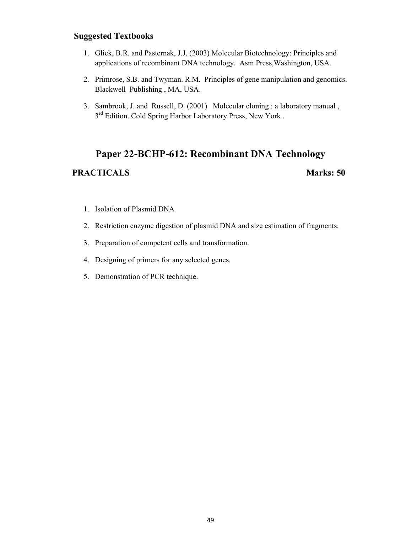## **Suggested Textbooks**

- 1. Glick, B.R. and Pasternak, J.J. (2003) Molecular Biotechnology: Principles and applications of recombinant DNA technology. Asm Press,Washington, USA.
- 2. Primrose, S.B. and Twyman. R.M. Principles of gene manipulation and genomics. Blackwell Publishing , MA, USA.
- 3. Sambrook, J. and Russell, D. (2001) Molecular cloning : a laboratory manual , 3<sup>rd</sup> Edition. Cold Spring Harbor Laboratory Press, New York.

# **Paper 22-BCHP-612: Recombinant DNA Technology**  PRACTICALS Marks: 50

- 1. Isolation of Plasmid DNA
- 2. Restriction enzyme digestion of plasmid DNA and size estimation of fragments.
- 3. Preparation of competent cells and transformation.
- 4. Designing of primers for any selected genes.
- 5. Demonstration of PCR technique.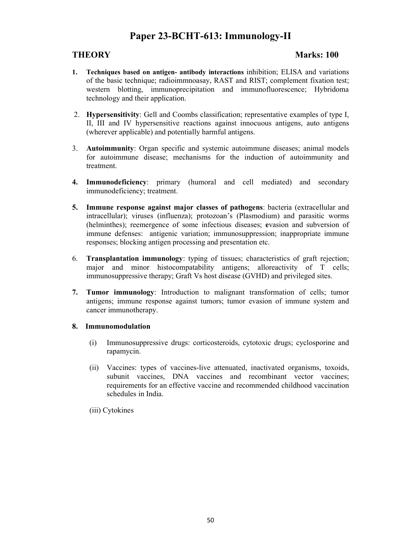## **Paper 23-BCHT-613: Immunology-II**

## **THEORY Marks: 100**

- **1. Techniques based on antigen- antibody interactions** inhibition; ELISA and variations of the basic technique; radioimmnoasay, RAST and RIST; complement fixation test; western blotting, immunoprecipitation and immunofluorescence; Hybridoma technology and their application.
- 2. **Hypersensitivity**: Gell and Coombs classification; representative examples of type I, II, III and IV hypersensitive reactions against innocuous antigens, auto antigens (wherever applicable) and potentially harmful antigens.
- 3. **Autoimmunity**: Organ specific and systemic autoimmune diseases; animal models for autoimmune disease; mechanisms for the induction of autoimmunity and treatment.
- **4. Immunodeficiency**: primary (humoral and cell mediated) and secondary immunodeficiency; treatment.
- **5. Immune response against major classes of pathogens**: bacteria (extracellular and intracellular); viruses (influenza); protozoan's (Plasmodium) and parasitic worms (helminthes); reemergence of some infectious diseases; **e**vasion and subversion of immune defenses: antigenic variation; immunosuppression; inappropriate immune responses; blocking antigen processing and presentation etc.
- 6. **Transplantation immunology**: typing of tissues; characteristics of graft rejection; major and minor histocompatability antigens; alloreactivity of T cells; immunosuppressive therapy; Graft Vs host disease (GVHD) and privileged sites.
- **7. Tumor immunology**: Introduction to malignant transformation of cells; tumor antigens; immune response against tumors; tumor evasion of immune system and cancer immunotherapy.

#### **8. Immunomodulation**

- (i) Immunosuppressive drugs: corticosteroids, cytotoxic drugs; cyclosporine and rapamycin.
- (ii) Vaccines: types of vaccines-live attenuated, inactivated organisms, toxoids, subunit vaccines, DNA vaccines and recombinant vector vaccines; requirements for an effective vaccine and recommended childhood vaccination schedules in India.
- (iii) Cytokines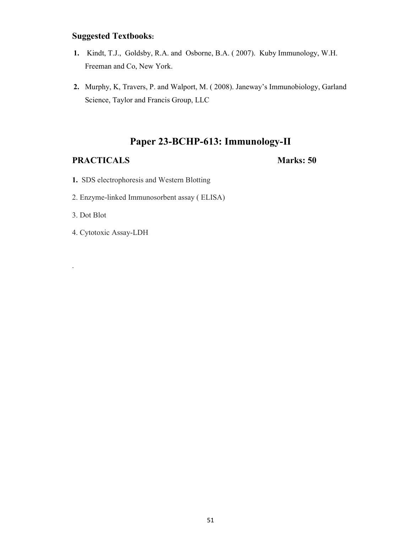## **Suggested Textbooks:**

- **1.** Kindt, T.J., Goldsby, R.A. and Osborne, B.A. ( 2007). Kuby Immunology, W.H. Freeman and Co, New York.
- **2.** Murphy, K, Travers, P. and Walport, M. ( 2008). Janeway's Immunobiology, Garland Science, Taylor and Francis Group, LLC

## **Paper 23-BCHP-613: Immunology-II**

## **PRACTICALS** Marks: 50

- **1.** SDS electrophoresis and Western Blotting
- 2. Enzyme-linked Immunosorbent assay ( ELISA)
- 3. Dot Blot

.

4. Cytotoxic Assay-LDH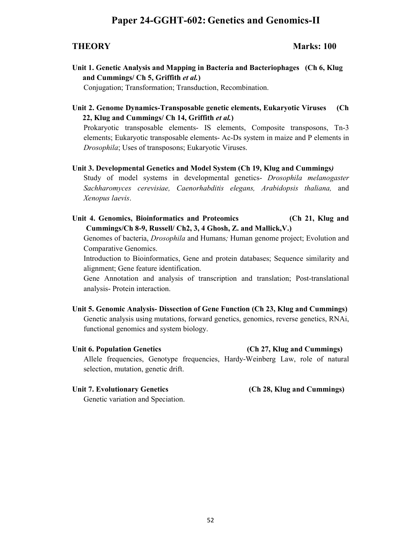## **Paper 24-GGHT-602: Genetics and Genomics-II**

**THEORY Marks: 100** 

**Unit 1. Genetic Analysis and Mapping in Bacteria and Bacteriophages (Ch 6, Klug and Cummings/ Ch 5, Griffith** *et al.***)** 

Conjugation; Transformation; Transduction, Recombination.

**Unit 2. Genome Dynamics-Transposable genetic elements, Eukaryotic Viruses (Ch 22, Klug and Cummings/ Ch 14, Griffith** *et al.***)**

Prokaryotic transposable elements- IS elements, Composite transposons, Tn-3 elements; Eukaryotic transposable elements- Ac-Ds system in maize and P elements in *Drosophila*; Uses of transposons; Eukaryotic Viruses.

#### **Unit 3. Developmental Genetics and Model System (Ch 19, Klug and Cummings***)*

Study of model systems in developmental genetics- *Drosophila melanogaster Sachharomyces cerevisiae, Caenorhabditis elegans, Arabidopsis thaliana,* and *Xenopus laevis*.

**Unit 4. Genomics, Bioinformatics and Proteomics (Ch 21, Klug and Cummings/Ch 8-9, Russell/ Ch2, 3, 4 Ghosh, Z. and Mallick,V.)**

Genomes of bacteria, *Drosophila* and Humans*;* Human genome project; Evolution and Comparative Genomics.

Introduction to Bioinformatics, Gene and protein databases; Sequence similarity and alignment; Gene feature identification.

Gene Annotation and analysis of transcription and translation; Post-translational analysis- Protein interaction.

#### **Unit 5. Genomic Analysis- Dissection of Gene Function (Ch 23, Klug and Cummings)**

Genetic analysis using mutations, forward genetics, genomics, reverse genetics, RNAi, functional genomics and system biology.

#### **Unit 6. Population Genetics (Ch 27, Klug and Cummings)**

Allele frequencies, Genotype frequencies, Hardy-Weinberg Law, role of natural selection, mutation, genetic drift.

Genetic variation and Speciation.

#### **Unit 7. Evolutionary Genetics (Ch 28, Klug and Cummings)**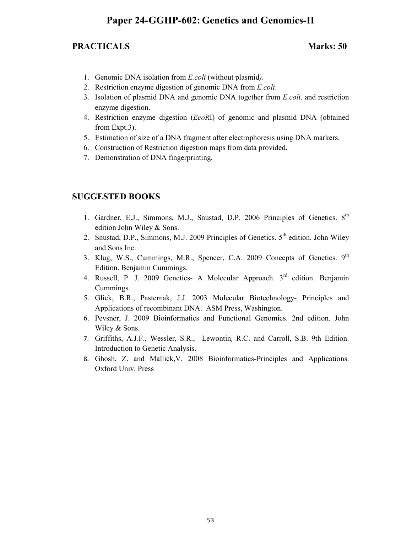## **Paper 24-GGHP-602: Genetics and Genomics-II**

## **PRACTICALS** Marks: 50

- 1. Genomic DNA isolation from *E.coli* (without plasmid*)*.
- 2. Restriction enzyme digestion of genomic DNA from *E.coli*.
- 3. Isolation of plasmid DNA and genomic DNA together from *E.coli*. and restriction enzyme digestion.
- 4. Restriction enzyme digestion (*EcoR*I) of genomic and plasmid DNA (obtained from Expt.3).
- 5. Estimation of size of a DNA fragment after electrophoresis using DNA markers.
- 6. Construction of Restriction digestion maps from data provided.
- 7. Demonstration of DNA fingerprinting.

### **SUGGESTED BOOKS**

- 1. Gardner, E.J., Simmons, M.J., Snustad, D.P. 2006 Principles of Genetics. 8<sup>th</sup> edition John Wiley & Sons.
- 2. Snustad, D.P., Simmons, M.J. 2009 Principles of Genetics.  $5<sup>th</sup>$  edition. John Wiley and Sons Inc.
- 3. Klug, W.S., Cummings, M.R., Spencer, C.A. 2009 Concepts of Genetics. 9<sup>th</sup> Edition. Benjamin Cummings.
- 4. Russell, P. J. 2009 Genetics- A Molecular Approach. 3rd edition. Benjamin Cummings.
- 5. Glick, B.R., Pasternak, J.J. 2003 Molecular Biotechnology- Principles and Applications of recombinant DNA. ASM Press, Washington.
- 6. Pevsner, J. 2009 Bioinformatics and Functional Genomics. 2nd edition. John Wiley & Sons.
- 7. Griffiths, A.J.F., Wessler, S.R., Lewontin, R.C. and Carroll, S.B. 9th Edition. Introduction to Genetic Analysis.
- 8. Ghosh, Z. and Mallick,V. 2008 Bioinformatics-Principles and Applications. Oxford Univ. Press